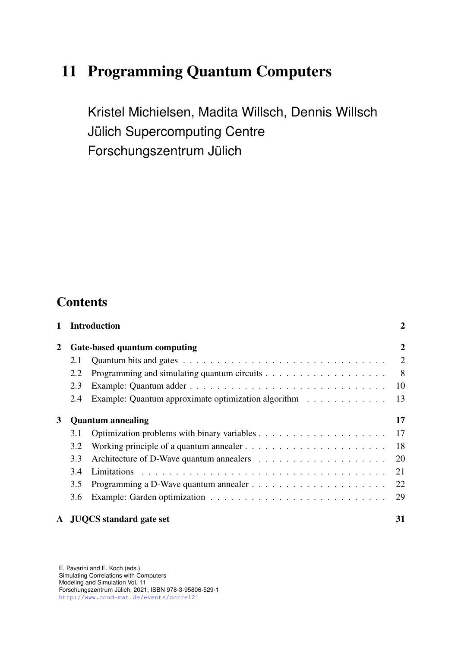# 11 Programming Quantum Computers

Kristel Michielsen, Madita Willsch, Dennis Willsch Jülich Supercomputing Centre Forschungszentrum Jülich

## **Contents**

|   |                              | 1 Introduction                                                                            | $\overline{2}$           |
|---|------------------------------|-------------------------------------------------------------------------------------------|--------------------------|
| 2 | Gate-based quantum computing |                                                                                           | $\overline{2}$           |
|   | 2.1                          |                                                                                           | $\overline{\phantom{0}}$ |
|   | 2.2                          |                                                                                           |                          |
|   | 2.3                          |                                                                                           | -10                      |
|   | 2.4                          | Example: Quantum approximate optimization algorithm                                       | 13                       |
| 3 |                              | <b>Quantum</b> annealing                                                                  | 17                       |
|   | 3.1                          |                                                                                           |                          |
|   | 3.2                          | Working principle of a quantum annealer $\dots \dots \dots \dots \dots \dots \dots \dots$ | -18                      |
|   | 3.3                          |                                                                                           |                          |
|   | 3.4                          |                                                                                           | 21                       |
|   | 3.5                          |                                                                                           | 22                       |
|   | 3.6                          |                                                                                           | 29                       |
|   |                              | A JUQCS standard gate set                                                                 | 31                       |

E. Pavarini and E. Koch (eds.) Simulating Correlations with Computers Modeling and Simulation Vol. 11 Forschungszentrum Julich, 2021, ISBN 978-3-95806-529-1 ¨ <http://www.cond-mat.de/events/correl21>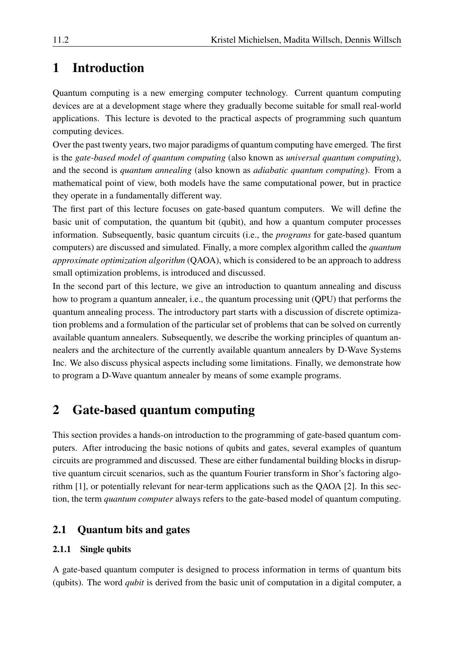# <span id="page-1-0"></span>1 Introduction

Quantum computing is a new emerging computer technology. Current quantum computing devices are at a development stage where they gradually become suitable for small real-world applications. This lecture is devoted to the practical aspects of programming such quantum computing devices.

Over the past twenty years, two major paradigms of quantum computing have emerged. The first is the *gate-based model of quantum computing* (also known as *universal quantum computing*), and the second is *quantum annealing* (also known as *adiabatic quantum computing*). From a mathematical point of view, both models have the same computational power, but in practice they operate in a fundamentally different way.

The first part of this lecture focuses on gate-based quantum computers. We will define the basic unit of computation, the quantum bit (qubit), and how a quantum computer processes information. Subsequently, basic quantum circuits (i.e., the *programs* for gate-based quantum computers) are discussed and simulated. Finally, a more complex algorithm called the *quantum approximate optimization algorithm* (QAOA), which is considered to be an approach to address small optimization problems, is introduced and discussed.

In the second part of this lecture, we give an introduction to quantum annealing and discuss how to program a quantum annealer, i.e., the quantum processing unit (QPU) that performs the quantum annealing process. The introductory part starts with a discussion of discrete optimization problems and a formulation of the particular set of problems that can be solved on currently available quantum annealers. Subsequently, we describe the working principles of quantum annealers and the architecture of the currently available quantum annealers by D-Wave Systems Inc. We also discuss physical aspects including some limitations. Finally, we demonstrate how to program a D-Wave quantum annealer by means of some example programs.

# <span id="page-1-1"></span>2 Gate-based quantum computing

This section provides a hands-on introduction to the programming of gate-based quantum computers. After introducing the basic notions of qubits and gates, several examples of quantum circuits are programmed and discussed. These are either fundamental building blocks in disruptive quantum circuit scenarios, such as the quantum Fourier transform in Shor's factoring algorithm [\[1\]](#page-34-0), or potentially relevant for near-term applications such as the QAOA [\[2\]](#page-34-1). In this section, the term *quantum computer* always refers to the gate-based model of quantum computing.

## <span id="page-1-2"></span>2.1 Quantum bits and gates

## 2.1.1 Single qubits

A gate-based quantum computer is designed to process information in terms of quantum bits (qubits). The word *qubit* is derived from the basic unit of computation in a digital computer, a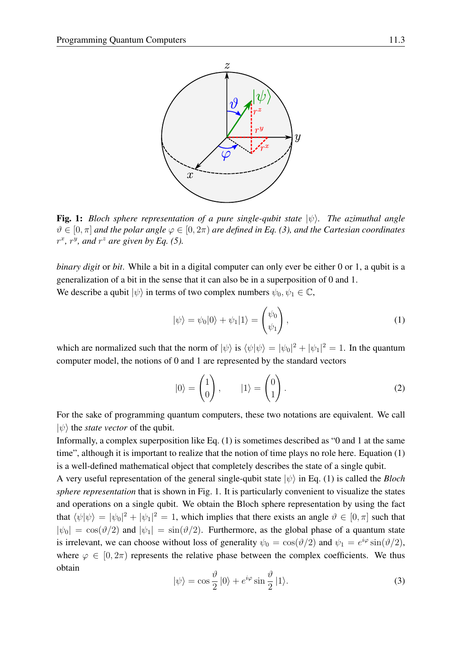

<span id="page-2-2"></span>Fig. 1: *Bloch sphere representation of a pure single-qubit state*  $|\psi\rangle$ *. The azimuthal angle*  $\vartheta \in [0, \pi]$  *and the polar angle*  $\varphi \in [0, 2\pi)$  *are defined in Eq.* [\(3\)](#page-2-0), *and the Cartesian coordinates*  $r^x$ ,  $r^y$ , and  $r^z$  are given by Eq. [\(5\)](#page-3-0).

*binary digit* or *bit*. While a bit in a digital computer can only ever be either 0 or 1, a qubit is a generalization of a bit in the sense that it can also be in a superposition of 0 and 1. We describe a qubit  $|\psi\rangle$  in terms of two complex numbers  $\psi_0, \psi_1 \in \mathbb{C}$ ,

<span id="page-2-1"></span>
$$
|\psi\rangle = \psi_0|0\rangle + \psi_1|1\rangle = \begin{pmatrix} \psi_0 \\ \psi_1 \end{pmatrix},
$$
\n(1)

which are normalized such that the norm of  $|\psi\rangle$  is  $\langle \psi | \psi \rangle = | \psi_0 |^2 + | \psi_1 |^2 = 1$ . In the quantum computer model, the notions of 0 and 1 are represented by the standard vectors

<span id="page-2-3"></span>
$$
|0\rangle = \begin{pmatrix} 1 \\ 0 \end{pmatrix}, \qquad |1\rangle = \begin{pmatrix} 0 \\ 1 \end{pmatrix}.
$$
 (2)

For the sake of programming quantum computers, these two notations are equivalent. We call  $|\psi\rangle$  the *state vector* of the qubit.

Informally, a complex superposition like Eq. [\(1\)](#page-2-1) is sometimes described as "0 and 1 at the same time", although it is important to realize that the notion of time plays no role here. Equation [\(1\)](#page-2-1) is a well-defined mathematical object that completely describes the state of a single qubit.

A very useful representation of the general single-qubit state  $|\psi\rangle$  in Eq. [\(1\)](#page-2-1) is called the *Bloch sphere representation* that is shown in Fig. [1.](#page-2-2) It is particularly convenient to visualize the states and operations on a single qubit. We obtain the Bloch sphere representation by using the fact that  $\langle \psi | \psi \rangle = | \psi_0 |^2 + | \psi_1 |^2 = 1$ , which implies that there exists an angle  $\vartheta \in [0, \pi]$  such that  $|\psi_0| = \cos(\theta/2)$  and  $|\psi_1| = \sin(\theta/2)$ . Furthermore, as the global phase of a quantum state is irrelevant, we can choose without loss of generality  $\psi_0 = \cos(\vartheta/2)$  and  $\psi_1 = e^{i\varphi} \sin(\vartheta/2)$ , where  $\varphi \in [0, 2\pi)$  represents the relative phase between the complex coefficients. We thus obtain

<span id="page-2-0"></span>
$$
|\psi\rangle = \cos\frac{\vartheta}{2}|0\rangle + e^{i\varphi}\sin\frac{\vartheta}{2}|1\rangle.
$$
 (3)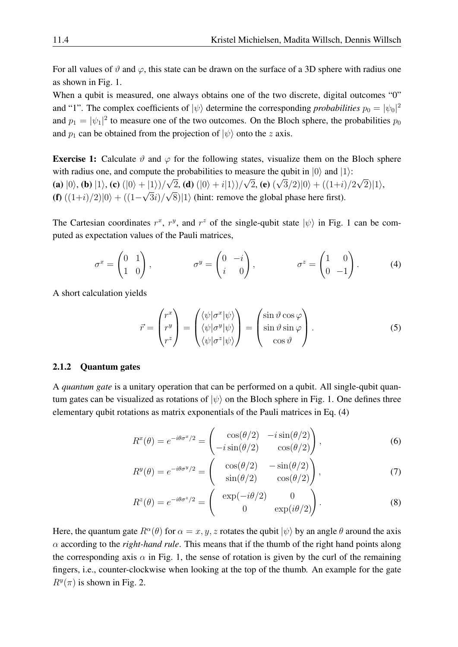For all values of  $\vartheta$  and  $\varphi$ , this state can be drawn on the surface of a 3D sphere with radius one as shown in Fig. [1.](#page-2-2)

When a qubit is measured, one always obtains one of the two discrete, digital outcomes "0" and "1". The complex coefficients of  $|\psi\rangle$  determine the corresponding *probabilities*  $p_0 = |\psi_0|^2$ and  $p_1 = |\psi_1|^2$  to measure one of the two outcomes. On the Bloch sphere, the probabilities  $p_0$ and  $p_1$  can be obtained from the projection of  $|\psi\rangle$  onto the z axis.

**Exercise 1:** Calculate  $\vartheta$  and  $\varphi$  for the following states, visualize them on the Bloch sphere with radius one, and compute the probabilities to measure the qubit in  $|0\rangle$  and  $|1\rangle$ : (a)  $|0\rangle$ , (b)  $|1\rangle$ , (c)  $(|0\rangle + |1\rangle)/$ µ∟ 2, **(d)**  $(|0\rangle + i|1\rangle)/$ √  $(2, 2)$ √  $(3/2)|0\rangle + ((1+i)/2)$ √  $|2)|1\rangle,$ (f)  $((1+i)/2)|0\rangle + ((1-i)/2)$ √  $3i)/$ √  $8\rangle |1\rangle$  (hint: remove the global phase here first).

The Cartesian coordinates  $r^x$ ,  $r^y$ , and  $r^z$  of the single-qubit state  $|\psi\rangle$  in Fig. [1](#page-2-2) can be computed as expectation values of the Pauli matrices,

$$
\sigma^x = \begin{pmatrix} 0 & 1 \\ 1 & 0 \end{pmatrix}, \qquad \qquad \sigma^y = \begin{pmatrix} 0 & -i \\ i & 0 \end{pmatrix}, \qquad \qquad \sigma^z = \begin{pmatrix} 1 & 0 \\ 0 & -1 \end{pmatrix}.
$$
 (4)

A short calculation yields

<span id="page-3-1"></span><span id="page-3-0"></span>
$$
\vec{r} = \begin{pmatrix} r^x \\ r^y \\ r^z \end{pmatrix} = \begin{pmatrix} \langle \psi | \sigma^x | \psi \rangle \\ \langle \psi | \sigma^y | \psi \rangle \\ \langle \psi | \sigma^z | \psi \rangle \end{pmatrix} = \begin{pmatrix} \sin \vartheta \cos \varphi \\ \sin \vartheta \sin \varphi \\ \cos \vartheta \end{pmatrix}.
$$
 (5)

#### 2.1.2 Quantum gates

A *quantum gate* is a unitary operation that can be performed on a qubit. All single-qubit quantum gates can be visualized as rotations of  $|\psi\rangle$  on the Bloch sphere in Fig. [1.](#page-2-2) One defines three elementary qubit rotations as matrix exponentials of the Pauli matrices in Eq. [\(4\)](#page-3-1)

$$
R^{x}(\theta) = e^{-i\theta\sigma^{x}/2} = \begin{pmatrix} \cos(\theta/2) & -i\sin(\theta/2) \\ -i\sin(\theta/2) & \cos(\theta/2) \end{pmatrix},
$$
(6)

<span id="page-3-2"></span>
$$
R^{y}(\theta) = e^{-i\theta\sigma^{y}/2} = \begin{pmatrix} \cos(\theta/2) & -\sin(\theta/2) \\ \sin(\theta/2) & \cos(\theta/2) \end{pmatrix},
$$
 (7)

$$
R^{z}(\theta) = e^{-i\theta\sigma^{z}/2} = \begin{pmatrix} \exp(-i\theta/2) & 0\\ 0 & \exp(i\theta/2) \end{pmatrix}.
$$
 (8)

Here, the quantum gate  $R^{\alpha}(\theta)$  for  $\alpha = x, y, z$  rotates the qubit  $|\psi\rangle$  by an angle  $\theta$  around the axis α according to the *right-hand rule*. This means that if the thumb of the right hand points along the corresponding axis  $\alpha$  in Fig. [1,](#page-2-2) the sense of rotation is given by the curl of the remaining fingers, i.e., counter-clockwise when looking at the top of the thumb. An example for the gate  $R^y(\pi)$  is shown in Fig. [2.](#page-4-0)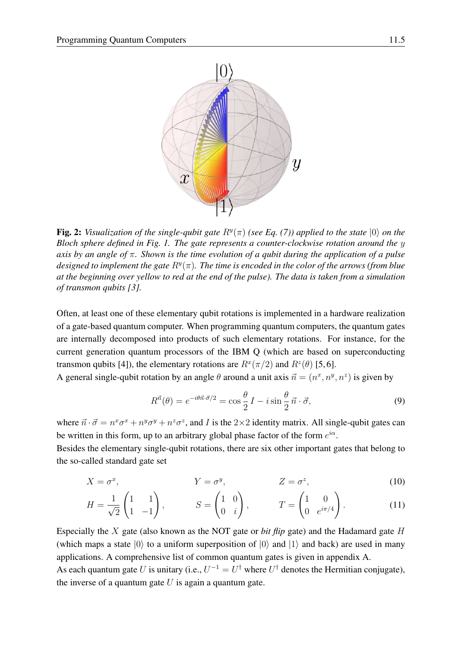

<span id="page-4-0"></span>**Fig. 2:** *Visualization of the single-qubit gate*  $R^y(\pi)$  (see Eq. [\(7\)](#page-3-2)) applied to the state  $|0\rangle$  on the *Bloch sphere defined in Fig. [1.](#page-2-2) The gate represents a counter-clockwise rotation around the* y *axis by an angle of* π*. Shown is the time evolution of a qubit during the application of a pulse* designed to implement the gate  $R^y(\pi)$ . The time is encoded in the color of the arrows (from blue *at the beginning over yellow to red at the end of the pulse). The data is taken from a simulation of transmon qubits [\[3\]](#page-34-2).*

Often, at least one of these elementary qubit rotations is implemented in a hardware realization of a gate-based quantum computer. When programming quantum computers, the quantum gates are internally decomposed into products of such elementary rotations. For instance, for the current generation quantum processors of the IBM Q (which are based on superconducting transmon qubits [\[4\]](#page-34-3)), the elementary rotations are  $R^x(\pi/2)$  and  $R^z(\theta)$  [\[5,](#page-34-4)6].

A general single-qubit rotation by an angle  $\theta$  around a unit axis  $\vec{n} = (n^x, n^y, n^z)$  is given by

<span id="page-4-3"></span><span id="page-4-2"></span><span id="page-4-1"></span>
$$
R^{\vec{n}}(\theta) = e^{-i\theta \vec{n} \cdot \vec{\sigma}/2} = \cos\frac{\theta}{2} I - i\sin\frac{\theta}{2} \vec{n} \cdot \vec{\sigma},\tag{9}
$$

where  $\vec{n} \cdot \vec{\sigma} = n^x \sigma^x + n^y \sigma^y + n^z \sigma^z$ , and *I* is the 2×2 identity matrix. All single-qubit gates can be written in this form, up to an arbitrary global phase factor of the form  $e^{i\alpha}$ .

Besides the elementary single-qubit rotations, there are six other important gates that belong to the so-called standard gate set

$$
X = \sigma^x, \qquad \qquad Y = \sigma^y, \qquad \qquad Z = \sigma^z, \qquad (10)
$$

$$
H = \frac{1}{\sqrt{2}} \begin{pmatrix} 1 & 1 \\ 1 & -1 \end{pmatrix}, \qquad S = \begin{pmatrix} 1 & 0 \\ 0 & i \end{pmatrix}, \qquad T = \begin{pmatrix} 1 & 0 \\ 0 & e^{i\pi/4} \end{pmatrix}.
$$
 (11)

Especially the X gate (also known as the NOT gate or *bit flip* gate) and the Hadamard gate H (which maps a state  $|0\rangle$  to a uniform superposition of  $|0\rangle$  and  $|1\rangle$  and back) are used in many applications. A comprehensive list of common quantum gates is given in appendix [A.](#page-30-0)

As each quantum gate U is unitary (i.e.,  $U^{-1} = U^{\dagger}$  where  $U^{\dagger}$  denotes the Hermitian conjugate), the inverse of a quantum gate  $U$  is again a quantum gate.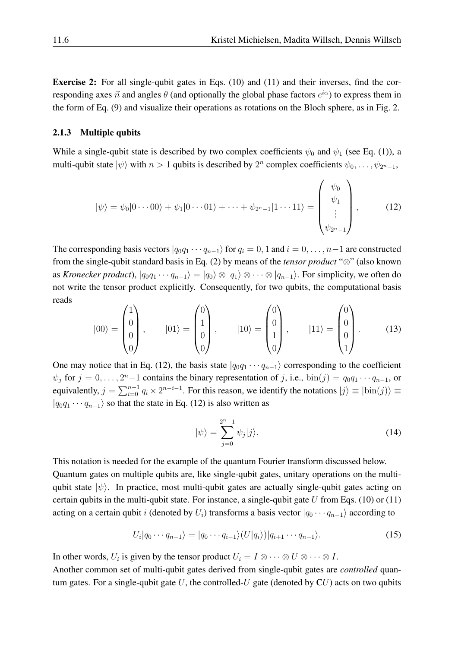Exercise 2: For all single-qubit gates in Eqs. [\(10\)](#page-4-1) and [\(11\)](#page-4-2) and their inverses, find the corresponding axes  $\vec{n}$  and angles  $\theta$  (and optionally the global phase factors  $e^{i\alpha}$ ) to express them in the form of Eq. [\(9\)](#page-4-3) and visualize their operations as rotations on the Bloch sphere, as in Fig. [2.](#page-4-0)

#### 2.1.3 Multiple qubits

While a single-qubit state is described by two complex coefficients  $\psi_0$  and  $\psi_1$  (see Eq. [\(1\)](#page-2-1)), a multi-qubit state  $|\psi\rangle$  with  $n > 1$  qubits is described by  $2^n$  complex coefficients  $\psi_0, \dots, \psi_{2^n-1}$ ,

<span id="page-5-0"></span>
$$
|\psi\rangle = \psi_0|0\cdots00\rangle + \psi_1|0\cdots01\rangle + \cdots + \psi_{2n-1}|1\cdots11\rangle = \begin{pmatrix} \psi_0 \\ \psi_1 \\ \vdots \\ \psi_{2n-1} \end{pmatrix},
$$
 (12)

The corresponding basis vectors  $|q_0q_1 \cdots q_{n-1}\rangle$  for  $q_i = 0, 1$  and  $i = 0, \ldots, n-1$  are constructed from the single-qubit standard basis in Eq. [\(2\)](#page-2-3) by means of the *tensor product* "⊗" (also known as *Kronecker product*),  $|q_0q_1 \cdots q_{n-1}\rangle = |q_0\rangle \otimes |q_1\rangle \otimes \cdots \otimes |q_{n-1}\rangle$ . For simplicity, we often do not write the tensor product explicitly. Consequently, for two qubits, the computational basis reads

<span id="page-5-1"></span>
$$
|00\rangle = \begin{pmatrix} 1 \\ 0 \\ 0 \\ 0 \end{pmatrix}, \qquad |01\rangle = \begin{pmatrix} 0 \\ 1 \\ 0 \\ 0 \end{pmatrix}, \qquad |10\rangle = \begin{pmatrix} 0 \\ 0 \\ 1 \\ 0 \end{pmatrix}, \qquad |11\rangle = \begin{pmatrix} 0 \\ 0 \\ 0 \\ 1 \end{pmatrix}. \tag{13}
$$

One may notice that in Eq. [\(12\)](#page-5-0), the basis state  $|q_0q_1 \cdots q_{n-1}\rangle$  corresponding to the coefficient  $\psi_j$  for  $j = 0, \ldots, 2^{n-1}$  contains the binary representation of j, i.e.,  $\text{bin}(j) = q_0 q_1 \cdots q_{n-1}$ , or equivalently,  $j = \sum_{i=0}^{n-1} q_i \times 2^{n-i-1}$ . For this reason, we identify the notations  $|j\rangle \equiv |\text{bin}(j)\rangle \equiv$  $|q_0q_1 \cdots q_{n-1}\rangle$  so that the state in Eq. [\(12\)](#page-5-0) is also written as

<span id="page-5-2"></span>
$$
|\psi\rangle = \sum_{j=0}^{2^n - 1} \psi_j |j\rangle.
$$
 (14)

This notation is needed for the example of the quantum Fourier transform discussed below. Quantum gates on multiple qubits are, like single-qubit gates, unitary operations on the multiqubit state  $|\psi\rangle$ . In practice, most multi-qubit gates are actually single-qubit gates acting on certain qubits in the multi-qubit state. For instance, a single-qubit gate  $U$  from Eqs. [\(10\)](#page-4-1) or [\(11\)](#page-4-2) acting on a certain qubit i (denoted by  $U_i$ ) transforms a basis vector  $|q_0 \cdots q_{n-1}\rangle$  according to

$$
U_i|q_0\cdots q_{n-1}\rangle = |q_0\cdots q_{i-1}\rangle (U|q_i\rangle)|q_{i+1}\cdots q_{n-1}\rangle.
$$
\n(15)

In other words,  $U_i$  is given by the tensor product  $U_i = I \otimes \cdots \otimes U \otimes \cdots \otimes I$ .

Another common set of multi-qubit gates derived from single-qubit gates are *controlled* quantum gates. For a single-qubit gate  $U$ , the controlled- $U$  gate (denoted by  $CU$ ) acts on two qubits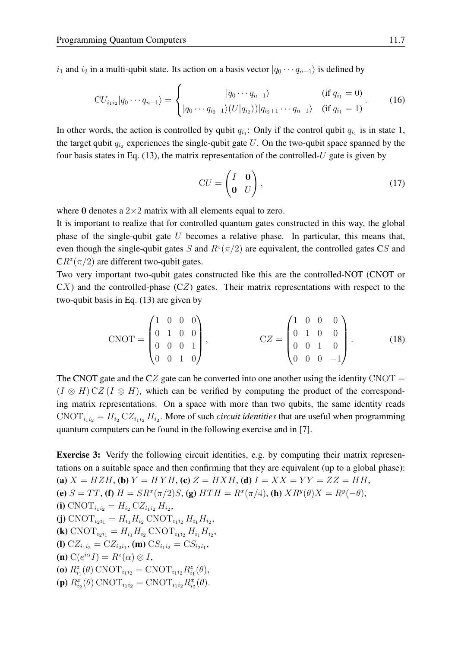$i_1$  and  $i_2$  in a multi-qubit state. Its action on a basis vector  $|q_0 \cdots q_{n-1}\rangle$  is defined by

 $\lambda$ 

<span id="page-6-0"></span>
$$
CU_{i_1i_2}|q_0\cdots q_{n-1}\rangle = \begin{cases} |q_0\cdots q_{n-1}\rangle & (\text{if } q_{i_1} = 0) \\ |q_0\cdots q_{i_2-1}\rangle (U|q_{i_2})||q_{i_2+1}\cdots q_{n-1}\rangle & (\text{if } q_{i_1} = 1) \end{cases} (16)
$$

In other words, the action is controlled by qubit  $q_{i_1}$ : Only if the control qubit  $q_{i_1}$  is in state 1, the target qubit  $q_{i_2}$  experiences the single-qubit gate U. On the two-qubit space spanned by the four basis states in Eq. [\(13\)](#page-5-1), the matrix representation of the controlled-U gate is given by

$$
CU = \begin{pmatrix} I & \mathbf{0} \\ \mathbf{0} & U \end{pmatrix},\tag{17}
$$

where 0 denotes a  $2\times 2$  matrix with all elements equal to zero.

It is important to realize that for controlled quantum gates constructed in this way, the global phase of the single-qubit gate  $U$  becomes a relative phase. In particular, this means that, even though the single-qubit gates S and  $R^z(\pi/2)$  are equivalent, the controlled gates CS and  $CR^{z}(\pi/2)$  are different two-qubit gates.

Two very important two-qubit gates constructed like this are the controlled-NOT (CNOT or  $CX$ ) and the controlled-phase  $(CZ)$  gates. Their matrix representations with respect to the two-qubit basis in Eq. [\(13\)](#page-5-1) are given by

$$
CNOT = \begin{pmatrix} 1 & 0 & 0 & 0 \\ 0 & 1 & 0 & 0 \\ 0 & 0 & 0 & 1 \\ 0 & 0 & 1 & 0 \end{pmatrix}, \qquad CZ = \begin{pmatrix} 1 & 0 & 0 & 0 \\ 0 & 1 & 0 & 0 \\ 0 & 0 & 1 & 0 \\ 0 & 0 & 0 & -1 \end{pmatrix}.
$$
 (18)

The CNOT gate and the CZ gate can be converted into one another using the identity CNOT  $=$  $(I \otimes H) CZ (I \otimes H)$ , which can be verified by computing the product of the corresponding matrix representations. On a space with more than two qubits, the same identity reads  $\text{CNOT}_{i_1 i_2} = H_{i_2} \text{CZ}_{i_1 i_2} H_{i_2}$ . More of such *circuit identities* that are useful when programming quantum computers can be found in the following exercise and in [\[7\]](#page-34-6).

Exercise 3: Verify the following circuit identities, e.g. by computing their matrix representations on a suitable space and then confirming that they are equivalent (up to a global phase): (a)  $X = HZH$ , (b)  $Y = HYH$ , (c)  $Z = HXH$ , (d)  $I = XX = YY = ZZ = HH$ , (e)  $S = TT$ , (f)  $H = SR^x(\pi/2)S$ , (g)  $HTH = R^x(\pi/4)$ , (h)  $XR^y(\theta)X = R^y(-\theta)$ , (i)  $\text{CNOT}_{i_1 i_2} = H_{i_2} \text{CZ}_{i_1 i_2} H_{i_2},$ (j)  $\text{CNOT}_{i_2i_1} = H_{i_1}H_{i_2} \text{CNOT}_{i_1i_2} H_{i_1}H_{i_2},$ (k)  $\text{CNOT}_{i_2i_1} = H_{i_1}H_{i_2} \text{CNOT}_{i_1i_2} H_{i_1}H_{i_2},$ (I)  $CZ_{i_1i_2} = CZ_{i_2i_1}$ , (m)  $CS_{i_1i_2} = CS_{i_2i_1}$ , (**n**)  $C(e^{i\alpha} I) = R^z(\alpha) \otimes I$ , (**o**)  $R_{i_1}^z(\theta)$  CNOT<sub>*i*1*i*<sub>2</sub></sub> = CNOT<sub>*i*<sub>1</sub>*i*<sub>2</sub></sub> $R_{i_1}^z(\theta)$ , (p)  $R_{i_2}^x(\theta)$  CNOT<sub>i<sub>1*i*2</sub></sub> = CNOT<sub>i<sub>1*i*2</sub></sub> $R_{i_2}^x(\theta)$ .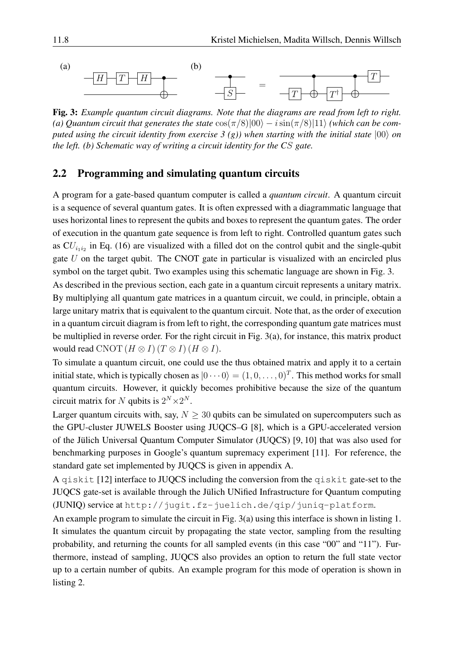

<span id="page-7-1"></span>Fig. 3: *Example quantum circuit diagrams. Note that the diagrams are read from left to right.* (a) Quantum circuit that generates the state  $\cos(\pi/8)|00\rangle - i\sin(\pi/8)|11\rangle$  *(which can be computed using the circuit identity from exercise 3 (g)) when starting with the initial state*  $|00\rangle$  *on the left. (b) Schematic way of writing a circuit identity for the C*S *gate.*

#### <span id="page-7-0"></span>2.2 Programming and simulating quantum circuits

A program for a gate-based quantum computer is called a *quantum circuit*. A quantum circuit is a sequence of several quantum gates. It is often expressed with a diagrammatic language that uses horizontal lines to represent the qubits and boxes to represent the quantum gates. The order of execution in the quantum gate sequence is from left to right. Controlled quantum gates such as  $CU_{i_1i_2}$  in Eq. [\(16\)](#page-6-0) are visualized with a filled dot on the control qubit and the single-qubit gate  $U$  on the target qubit. The CNOT gate in particular is visualized with an encircled plus symbol on the target qubit. Two examples using this schematic language are shown in Fig. [3.](#page-7-1)

As described in the previous section, each gate in a quantum circuit represents a unitary matrix. By multiplying all quantum gate matrices in a quantum circuit, we could, in principle, obtain a large unitary matrix that is equivalent to the quantum circuit. Note that, as the order of execution in a quantum circuit diagram is from left to right, the corresponding quantum gate matrices must be multiplied in reverse order. For the right circuit in Fig. [3\(](#page-7-1)a), for instance, this matrix product would read CNOT  $(H \otimes I)$   $(T \otimes I)$   $(H \otimes I)$ .

To simulate a quantum circuit, one could use the thus obtained matrix and apply it to a certain initial state, which is typically chosen as  $|0 \cdots 0\rangle = (1, 0, \ldots, 0)^T$ . This method works for small quantum circuits. However, it quickly becomes prohibitive because the size of the quantum circuit matrix for N qubits is  $2^N \times 2^N$ .

Larger quantum circuits with, say,  $N > 30$  qubits can be simulated on supercomputers such as the GPU-cluster JUWELS Booster using JUQCS–G [\[8\]](#page-34-7), which is a GPU-accelerated version of the Jülich Universal Quantum Computer Simulator (JUQCS) [\[9,](#page-34-8) [10\]](#page-34-9) that was also used for benchmarking purposes in Google's quantum supremacy experiment [\[11\]](#page-34-10). For reference, the standard gate set implemented by JUQCS is given in appendix [A.](#page-30-0)

A qiskit [\[12\]](#page-34-11) interface to JUQCS including the conversion from the qiskit gate-set to the JUQCS gate-set is available through the Jülich UNified Infrastructure for Quantum computing (JUNIQ) service at [http://jugit.fz-juelich.de/qip/juniq-platform](http://ju git.fz-juelich.de/qip/juniq-platform).

An example program to simulate the circuit in Fig. [3\(](#page-7-1)a) using this interface is shown in listing [1.](#page-8-0) It simulates the quantum circuit by propagating the state vector, sampling from the resulting probability, and returning the counts for all sampled events (in this case "00" and "11"). Furthermore, instead of sampling, JUQCS also provides an option to return the full state vector up to a certain number of qubits. An example program for this mode of operation is shown in listing [2.](#page-8-1)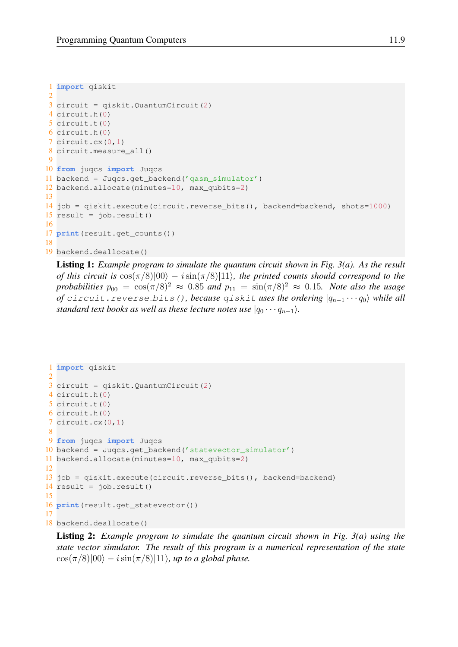```
1 import qiskit
2
3 circuit = qiskit.QuantumCircuit(2)
4 circuit.h(0)
5 circuit.t(0)
6 circuit.h(0)
7 circuit.cx(0,1)
8 circuit.measure all()
9
10 from juqcs import Juqcs
11 backend = Juqcs.get_backend('qasm_simulator')
12 backend.allocate(minutes=10, max_qubits=2)
13
14 job = qiskit.execute(circuit.reverse_bits(), backend=backend, shots=1000)
15 result = job.result()
16
17 print(result.get_counts())
18
19 backend.deallocate()
```
Listing 1: *Example program to simulate the quantum circuit shown in Fig. [3\(](#page-7-1)a). As the result of this circuit is*  $\cos(\pi/8)|00\rangle - i\sin(\pi/8)|11\rangle$ *, the printed counts should correspond to the probabilities*  $p_{00} = \cos(\pi/8)^2 \approx 0.85$  *and*  $p_{11} = \sin(\pi/8)^2 \approx 0.15$ *. Note also the usage of* circuit.reverse\_bits(), because qiskit uses the ordering  $|q_{n-1} \cdots q_0\rangle$  while all *standard text books as well as these lecture notes use*  $|q_0 \cdots q_{n-1}\rangle$ *.* 

```
1 import qiskit
2
3 circuit = qiskit.QuantumCircuit(2)
4 circuit.h(0)
5 circuit.t(0)
6 circuit.h(0)
7 circuit.cx(0,1)
8
9 from juqcs import Juqcs
10 backend = Juqcs.get_backend('statevector_simulator')
11 backend.allocate(minutes=10, max_qubits=2)
12
13 job = qiskit.execute(circuit.reverse_bits(), backend=backend)
14 result = job.result()
15
16 print(result.get_statevector())
17
18 backend.deallocate()
```
Listing 2: *Example program to simulate the quantum circuit shown in Fig. [3\(](#page-7-1)a) using the state vector simulator. The result of this program is a numerical representation of the state*  $\cos(\pi/8)|00\rangle - i\sin(\pi/8)|11\rangle$ , up to a global phase.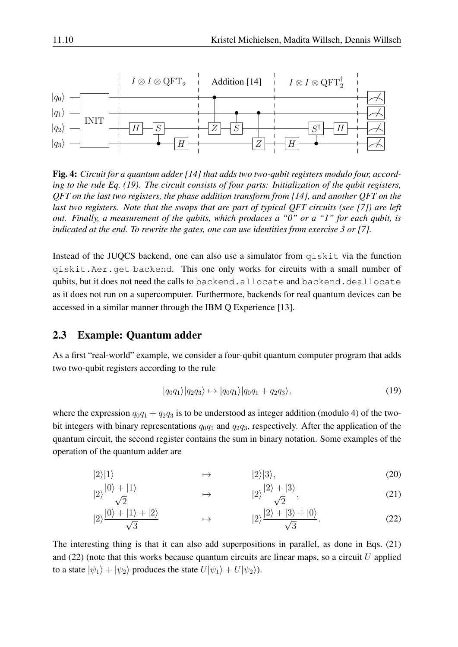

<span id="page-9-4"></span>Fig. 4: *Circuit for a quantum adder [\[14\]](#page-34-12) that adds two two-qubit registers modulo four, according to the rule Eq. [\(19\)](#page-9-1). The circuit consists of four parts: Initialization of the qubit registers, QFT on the last two registers, the phase addition transform from [\[14\]](#page-34-12), and another QFT on the last two registers. Note that the swaps that are part of typical QFT circuits (see [\[7\]](#page-34-6)) are left out. Finally, a measurement of the qubits, which produces a "0" or a "1" for each qubit, is indicated at the end. To rewrite the gates, one can use identities from exercise 3 or [\[7\]](#page-34-6).*

Instead of the JUQCS backend, one can also use a simulator from qiskit via the function qiskit.Aer.get backend. This one only works for circuits with a small number of qubits, but it does not need the calls to backend.allocate and backend.deallocate as it does not run on a supercomputer. Furthermore, backends for real quantum devices can be accessed in a similar manner through the IBM Q Experience [\[13\]](#page-34-13).

### <span id="page-9-0"></span>2.3 Example: Quantum adder

As a first "real-world" example, we consider a four-qubit quantum computer program that adds two two-qubit registers according to the rule

<span id="page-9-5"></span><span id="page-9-3"></span><span id="page-9-2"></span><span id="page-9-1"></span>
$$
|q_0q_1\rangle|q_2q_3\rangle \mapsto |q_0q_1\rangle|q_0q_1 + q_2q_3\rangle,\tag{19}
$$

where the expression  $q_0q_1 + q_2q_3$  is to be understood as integer addition (modulo 4) of the twobit integers with binary representations  $q_0q_1$  and  $q_2q_3$ , respectively. After the application of the quantum circuit, the second register contains the sum in binary notation. Some examples of the operation of the quantum adder are

$$
|2\rangle|1\rangle \qquad \qquad \mapsto \qquad \qquad |2\rangle|3\rangle,\tag{20}
$$

$$
|2\rangle \frac{|0\rangle + |1\rangle}{\sqrt{2}} \qquad \qquad \mapsto \qquad \qquad |2\rangle \frac{|2\rangle + |3\rangle}{\sqrt{2}}, \tag{21}
$$

$$
|2\rangle \frac{|0\rangle + |1\rangle + |2\rangle}{\sqrt{3}} \qquad \qquad \mapsto \qquad \qquad |2\rangle \frac{|2\rangle + |3\rangle + |0\rangle}{\sqrt{3}}.
$$
 (22)

The interesting thing is that it can also add superpositions in parallel, as done in Eqs. [\(21\)](#page-9-2) and  $(22)$  (note that this works because quantum circuits are linear maps, so a circuit U applied to a state  $|\psi_1\rangle + |\psi_2\rangle$  produces the state  $U|\psi_1\rangle + U|\psi_2\rangle$ ).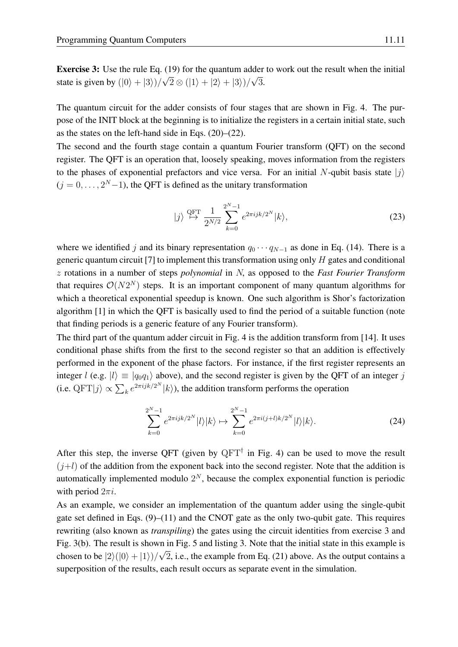**Exercise 3:** Use the rule Eq. [\(19\)](#page-9-1) for the quantum adder to work out the result when the initial state is given by  $(|0\rangle + |3\rangle)/$ √  $2 \otimes (|1\rangle + |2\rangle + |3\rangle)/$ √ 3.

The quantum circuit for the adder consists of four stages that are shown in Fig. [4.](#page-9-4) The purpose of the INIT block at the beginning is to initialize the registers in a certain initial state, such as the states on the left-hand side in Eqs. [\(20\)](#page-9-5)–[\(22\)](#page-9-3).

The second and the fourth stage contain a quantum Fourier transform (QFT) on the second register. The QFT is an operation that, loosely speaking, moves information from the registers to the phases of exponential prefactors and vice versa. For an initial N-qubit basis state  $|j\rangle$  $(j = 0, \ldots, 2<sup>N</sup> - 1)$ , the QFT is defined as the unitary transformation

$$
|j\rangle \stackrel{\text{QFT}}{\mapsto} \frac{1}{2^{N/2}} \sum_{k=0}^{2^N-1} e^{2\pi i j k/2^N} |k\rangle,
$$
 (23)

where we identified j and its binary representation  $q_0 \cdots q_{N-1}$  as done in Eq. [\(14\)](#page-5-2). There is a generic quantum circuit [\[7\]](#page-34-6) to implement this transformation using only  $H$  gates and conditional z rotations in a number of steps *polynomial* in N, as opposed to the *Fast Fourier Transform* that requires  $\mathcal{O}(N2^N)$  steps. It is an important component of many quantum algorithms for which a theoretical exponential speedup is known. One such algorithm is Shor's factorization algorithm [\[1\]](#page-34-0) in which the QFT is basically used to find the period of a suitable function (note that finding periods is a generic feature of any Fourier transform).

The third part of the quantum adder circuit in Fig. [4](#page-9-4) is the addition transform from [\[14\]](#page-34-12). It uses conditional phase shifts from the first to the second register so that an addition is effectively performed in the exponent of the phase factors. For instance, if the first register represents an integer l (e.g.  $|l\rangle \equiv |q_0q_1\rangle$  above), and the second register is given by the QFT of an integer j (i.e.  $\mathbf{QFT}|j\rangle \propto \sum_{k} e^{2\pi i j k/2^N} |k\rangle$ ), the addition transform performs the operation

$$
\sum_{k=0}^{2^N-1} e^{2\pi i jk/2^N} |l\rangle |k\rangle \mapsto \sum_{k=0}^{2^N-1} e^{2\pi i (j+l)k/2^N} |l\rangle |k\rangle.
$$
 (24)

After this step, the inverse QFT (given by  $QFT^{\dagger}$  in Fig. [4\)](#page-9-4) can be used to move the result  $(j+l)$  of the addition from the exponent back into the second register. Note that the addition is automatically implemented modulo  $2^N$ , because the complex exponential function is periodic with period  $2\pi i$ .

As an example, we consider an implementation of the quantum adder using the single-qubit gate set defined in Eqs. [\(9\)](#page-4-3)–[\(11\)](#page-4-2) and the CNOT gate as the only two-qubit gate. This requires rewriting (also known as *transpiling*) the gates using the circuit identities from exercise 3 and Fig. [3\(](#page-7-1)b). The result is shown in Fig. [5](#page-11-0) and listing [3.](#page-11-1) Note that the initial state in this example is chosen to be  $|2\rangle(|0\rangle + |1\rangle)/\sqrt{2}$ , i.e., the example from Eq. [\(21\)](#page-9-2) above. As the output contains a superposition of the results, each result occurs as separate event in the simulation.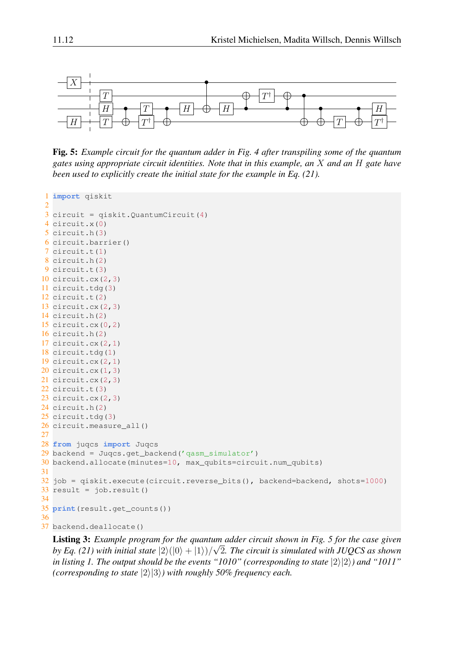

<span id="page-11-0"></span>Fig. 5: *Example circuit for the quantum adder in Fig. [4](#page-9-4) after transpiling some of the quantum gates using appropriate circuit identities. Note that in this example, an* X *and an* H *gate have been used to explicitly create the initial state for the example in Eq. [\(21\)](#page-9-2).*

```
1 import qiskit
2
3 circuit = qiskit.QuantumCircuit(4)
4 circuit.x(0)
5 circuit.h(3)
6 circuit.barrier()
7 circuit.t(1)
8 circuit.h(2)
9 circuit.t(3)
10 circuit.cx(2,3)
11 circuit.tdg(3)
12 circuit.t(2)
13 circuit.cx(2,3)
14 circuit.h(2)
15 circuit.cx(0,2)
16 circuit.h(2)
17 circuit.cx(2,1)
18 circuit.tdg(1)
19 circuit.cx(2,1)
20 circuit.cx(1,3)
21 circuit.cx(2,3)
22 circuit.t(3)
23 circuit.cx(2,3)
24 circuit.h(2)
25 circuit.tdg(3)
26 circuit.measure_all()
27
28 from juqcs import Juqcs
29 backend = Juqcs.get_backend('qasm_simulator')
30 backend.allocate(minutes=10, max_qubits=circuit.num_qubits)
31
32 job = qiskit.execute(circuit.reverse_bits(), backend=backend, shots=1000)
33 result = job.result()
34
35 print(result.get_counts())
36
37 backend.deallocate()
```
Listing 3: *Example program for the quantum adder circuit shown in Fig. [5](#page-11-0) for the case given* √ by Eq. [\(21\)](#page-9-2) with initial state  $|2\rangle (|0\rangle + |1\rangle)/\sqrt{2}$ . The circuit is simulated with JUQCS as shown *in listing* [1.](#page-8-0) The output should be the events "1010" (corresponding to state  $|2\rangle|2\rangle$ ) and "1011" *(corresponding to state*  $|2\rangle|3\rangle$ *) with roughly 50% frequency each.*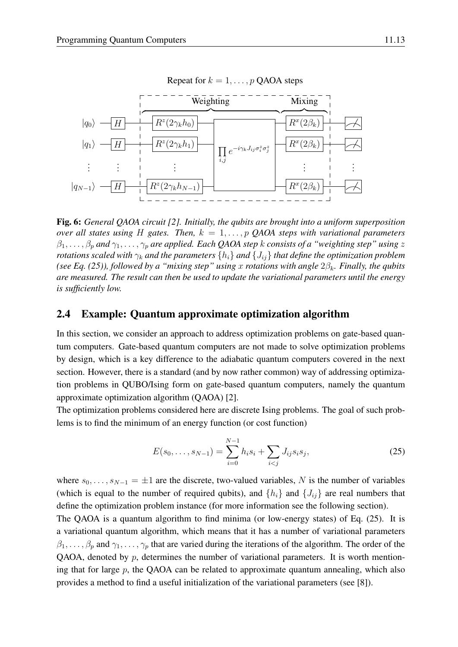

<span id="page-12-2"></span>Fig. 6: *General QAOA circuit [\[2\]](#page-34-1). Initially, the qubits are brought into a uniform superposition over all states using* H *gates. Then,*  $k = 1, \ldots, p$  QAOA *steps with variational parameters*  $\beta_1, \ldots, \beta_p$  and  $\gamma_1, \ldots, \gamma_p$  are applied. Each QAOA step k consists of a "weighting step" using z *rotations scaled with*  $\gamma_k$  *and the parameters*  $\{h_i\}$  *and*  $\{J_{ij}\}$  *that define the optimization problem (see Eq. [\(25\)](#page-12-1)), followed by a "mixing step" using* x *rotations with angle*  $2\beta_k$ *. Finally, the qubits are measured. The result can then be used to update the variational parameters until the energy is sufficiently low.*

#### <span id="page-12-0"></span>2.4 Example: Quantum approximate optimization algorithm

In this section, we consider an approach to address optimization problems on gate-based quantum computers. Gate-based quantum computers are not made to solve optimization problems by design, which is a key difference to the adiabatic quantum computers covered in the next section. However, there is a standard (and by now rather common) way of addressing optimization problems in QUBO/Ising form on gate-based quantum computers, namely the quantum approximate optimization algorithm (QAOA) [\[2\]](#page-34-1).

The optimization problems considered here are discrete Ising problems. The goal of such problems is to find the minimum of an energy function (or cost function)

<span id="page-12-1"></span>
$$
E(s_0, \dots, s_{N-1}) = \sum_{i=0}^{N-1} h_i s_i + \sum_{i < j} J_{ij} s_i s_j,\tag{25}
$$

where  $s_0, \ldots, s_{N-1} = \pm 1$  are the discrete, two-valued variables, N is the number of variables (which is equal to the number of required qubits), and  $\{h_i\}$  and  $\{J_{ij}\}$  are real numbers that define the optimization problem instance (for more information see the following section).

The QAOA is a quantum algorithm to find minima (or low-energy states) of Eq. [\(25\)](#page-12-1). It is a variational quantum algorithm, which means that it has a number of variational parameters  $\beta_1, \ldots, \beta_p$  and  $\gamma_1, \ldots, \gamma_p$  that are varied during the iterations of the algorithm. The order of the QAOA, denoted by  $p$ , determines the number of variational parameters. It is worth mentioning that for large  $p$ , the QAOA can be related to approximate quantum annealing, which also provides a method to find a useful initialization of the variational parameters (see [\[8\]](#page-34-7)).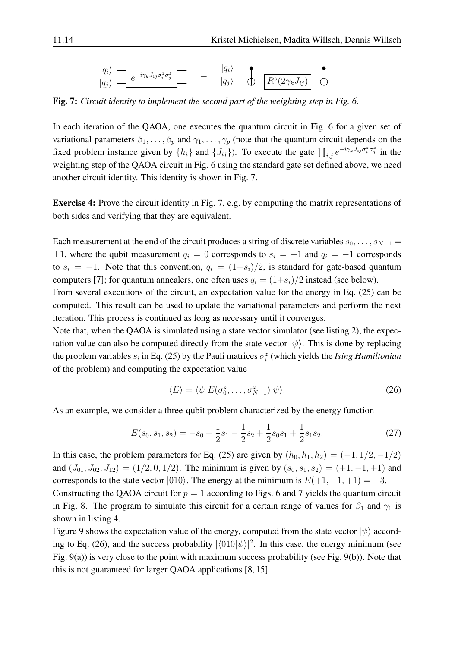$$
\frac{|q_i\rangle}{|q_j\rangle} = \frac{e^{-i\gamma_k J_{ij}\sigma_i^z \sigma_j^z}}{e^{-i\gamma_k J_{ij}\sigma_i^z \sigma_j^z}} = \frac{|q_i\rangle}{|q_j\rangle} = \frac{e^{-i\gamma_k J_{ij}\sigma_j^z \sigma_j^z}}{e^{-i\gamma_k J_{ij}\sigma_j^z \sigma_j^z}}
$$

<span id="page-13-0"></span>Fig. 7: *Circuit identity to implement the second part of the weighting step in Fig. [6.](#page-12-2)*

In each iteration of the QAOA, one executes the quantum circuit in Fig. [6](#page-12-2) for a given set of variational parameters  $\beta_1, \ldots, \beta_p$  and  $\gamma_1, \ldots, \gamma_p$  (note that the quantum circuit depends on the fixed problem instance given by  $\{h_i\}$  and  $\{J_{ij}\}\)$ . To execute the gate  $\prod_{i,j} e^{-i\gamma_k J_{ij}\sigma_i^z \sigma_j^z}$  in the weighting step of the QAOA circuit in Fig. [6](#page-12-2) using the standard gate set defined above, we need another circuit identity. This identity is shown in Fig. [7.](#page-13-0)

Exercise 4: Prove the circuit identity in Fig. [7,](#page-13-0) e.g. by computing the matrix representations of both sides and verifying that they are equivalent.

Each measurement at the end of the circuit produces a string of discrete variables  $s_0, \ldots, s_{N-1} =$  $\pm 1$ , where the qubit measurement  $q_i = 0$  corresponds to  $s_i = +1$  and  $q_i = -1$  corresponds to  $s_i = -1$ . Note that this convention,  $q_i = (1-s_i)/2$ , is standard for gate-based quantum computers [\[7\]](#page-34-6); for quantum annealers, one often uses  $q_i = (1+s_i)/2$  instead (see below).

From several executions of the circuit, an expectation value for the energy in Eq. [\(25\)](#page-12-1) can be computed. This result can be used to update the variational parameters and perform the next iteration. This process is continued as long as necessary until it converges.

Note that, when the QAOA is simulated using a state vector simulator (see listing [2\)](#page-8-1), the expectation value can also be computed directly from the state vector  $|\psi\rangle$ . This is done by replacing the problem variables  $s_i$  in Eq. [\(25\)](#page-12-1) by the Pauli matrices  $\sigma_i^z$  (which yields the *Ising Hamiltonian* of the problem) and computing the expectation value

<span id="page-13-1"></span>
$$
\langle E \rangle = \langle \psi | E(\sigma_0^z, \dots, \sigma_{N-1}^z) | \psi \rangle.
$$
 (26)

As an example, we consider a three-qubit problem characterized by the energy function

<span id="page-13-2"></span>
$$
E(s_0, s_1, s_2) = -s_0 + \frac{1}{2}s_1 - \frac{1}{2}s_2 + \frac{1}{2}s_0s_1 + \frac{1}{2}s_1s_2.
$$
 (27)

In this case, the problem parameters for Eq. [\(25\)](#page-12-1) are given by  $(h_0, h_1, h_2) = (-1, 1/2, -1/2)$ and  $(J_{01}, J_{02}, J_{12}) = (1/2, 0, 1/2)$ . The minimum is given by  $(s_0, s_1, s_2) = (+1, -1, +1)$  and corresponds to the state vector  $|010\rangle$ . The energy at the minimum is  $E(+1, -1, +1) = -3$ .

Constructing the QAOA circuit for  $p = 1$  according to Figs. [6](#page-12-2) and [7](#page-13-0) yields the quantum circuit in Fig. [8.](#page-14-0) The program to simulate this circuit for a certain range of values for  $\beta_1$  and  $\gamma_1$  is shown in listing [4.](#page-15-0)

Figure [9](#page-14-1) shows the expectation value of the energy, computed from the state vector  $|\psi\rangle$  accord-ing to Eq. [\(26\)](#page-13-1), and the success probability  $|\langle 010|\psi\rangle|^2$ . In this case, the energy minimum (see Fig. [9\(](#page-14-1)a)) is very close to the point with maximum success probability (see Fig. [9\(](#page-14-1)b)). Note that this is not guaranteed for larger QAOA applications [\[8,](#page-34-7) [15\]](#page-34-14).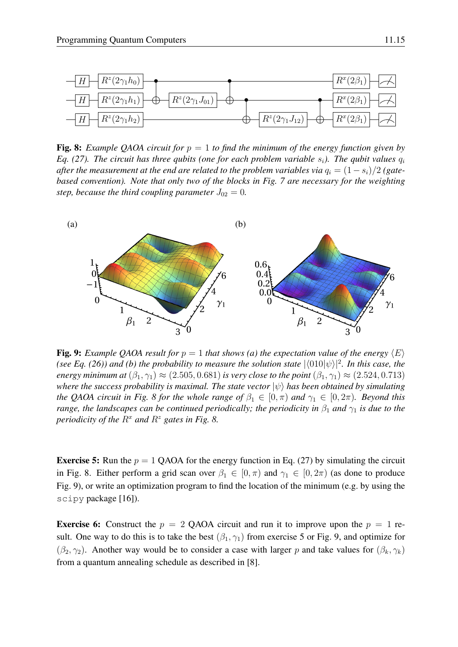

<span id="page-14-0"></span>**Fig. 8:** *Example QAOA circuit for*  $p = 1$  *to find the minimum of the energy function given by Eq.* [\(27\)](#page-13-2). The circuit has three qubits (one for each problem variable  $s_i$ ). The qubit values  $q_i$ *after the measurement at the end are related to the problem variables via*  $q_i = (1 - s_i)/2$  (gate*based convention). Note that only two of the blocks in Fig. [7](#page-13-0) are necessary for the weighting step, because the third coupling parameter*  $J_{02} = 0$ *.* 



<span id="page-14-1"></span>**Fig. 9:** *Example QAOA result for*  $p = 1$  *that shows (a) the expectation value of the energy*  $\langle E \rangle$ *(see Eq. [\(26\)](#page-13-1)) and (b) the probability to measure the solution state*  $|\langle 010|\psi\rangle|^2$ *. In this case, the energy minimum at*  $(\beta_1, \gamma_1) \approx (2.505, 0.681)$  *is very close to the point*  $(\beta_1, \gamma_1) \approx (2.524, 0.713)$ *where the success probability is maximal. The state vector*  $|\psi\rangle$  *has been obtained by simulating the QAOA circuit in Fig. 8 for the whole range of*  $\beta_1 \in [0, \pi)$  *and*  $\gamma_1 \in [0, 2\pi)$ *. Beyond this range, the landscapes can be continued periodically; the periodicity in*  $\beta_1$  *and*  $\gamma_1$  *is due to the periodicity of the*  $R^x$  *and*  $R^z$  *gates in Fig.* [8.](#page-14-0)

**Exercise 5:** Run the  $p = 1$  QAOA for the energy function in Eq. [\(27\)](#page-13-2) by simulating the circuit in Fig. [8.](#page-14-0) Either perform a grid scan over  $\beta_1 \in [0, \pi)$  and  $\gamma_1 \in [0, 2\pi)$  (as done to produce Fig. [9\)](#page-14-1), or write an optimization program to find the location of the minimum (e.g. by using the scipy package [\[16\]](#page-35-0)).

**Exercise 6:** Construct the  $p = 2$  QAOA circuit and run it to improve upon the  $p = 1$  result. One way to do this is to take the best  $(\beta_1, \gamma_1)$  from exercise 5 or Fig. [9,](#page-14-1) and optimize for  $(\beta_2, \gamma_2)$ . Another way would be to consider a case with larger p and take values for  $(\beta_k, \gamma_k)$ from a quantum annealing schedule as described in [\[8\]](#page-34-7).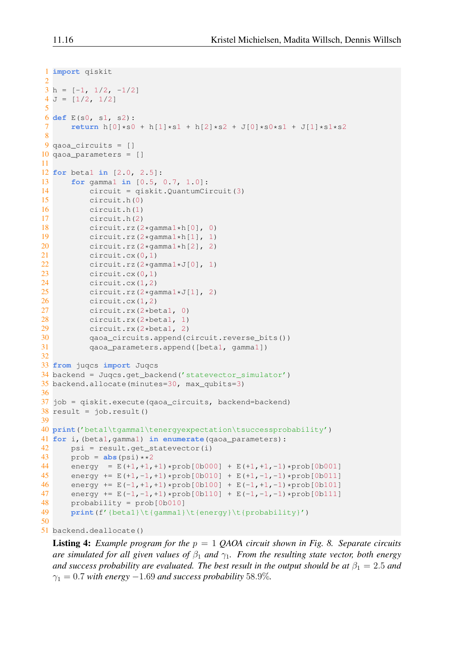```
1 import qiskit
 \mathcal{D}3 h = [-1, 1/2, -1/2]4 J = [1/2, 1/2]5
6 def E(s0, s1, s2):
 7 return h[0]*s0 + h[1]*s1 + h[2]*s2 + J[0]*s0**s1 + J[1]*s1**s28
9 qaoa_circuits = []
10 qaoa_parameters = []
11
12 for beta1 in [2.0, 2.5]:
13 for gamma1 in [0.5, 0.7, 1.0]:
14 circuit = qiskit.QuantumCircuit(3)
15 circuit.h(0)
16 circuit.h(1)
17 circuit.h(2)
18 circuit.rz(2*gamma1*h[0], 0)
19 circuit.rz(2*gamma1*h[1], 1)
20 circuit.rz(2*gamma1*h[2], 2)
21 circuit.cx(0,1)
22 circuit.rz(2*gamma1*J[0], 1)
23 circuit.cx(0,1)
24 circuit.cx(1,2)
25 circuit.rz(2 * \text{gamma1}*J[1], 2)<br>26 circuit.cx(1, 2)circuit.cx(1, 2)27 circuit.rx(2*beta1, 0)<br>28 circuit.rx(2*beta1, 1)
28 circuit.rx(2*beta1, 1)<br>29 circuit.rx(2*beta1, 2)
29 circuit.rx(2*beta1, 2)<br>30 aaoa circuits.append(c
           30 qaoa_circuits.append(circuit.reverse_bits())
31 qaoa_parameters.append([beta1, gamma1])
32
33 from juqcs import Juqcs
34 backend = Juqcs.get_backend('statevector_simulator')
35 backend.allocate(minutes=30, max_qubits=3)
36
37 job = qiskit.execute(qaoa_circuits, backend=backend)
38 result = job.result()
39
40 print('beta1\tgamma1\tenergyexpectation\tsuccessprobability')
41 for i,(beta1,gamma1) in enumerate(qaoa_parameters):
42 psi = result.get_statevector(i)
43 prob = abs(psi) **2<br>44 energy = E(1,1).
44 energy = E(+1,+1,+1)*prob[0b000] + E(+1,+1,-1)*prob[0b001]<br>45 energy += E(+1,-1,+1)*prob[0b010] + E(+1,-1,-1)*prob[0b011]
       energy += E(+1,-1,+1)*prob[0b010] + E(+1,-1,-1)*prob[0b011]46 energy += E(-1, +1, +1)*prob[0b100] + E(-1, +1, -1)*prob[0b101]<br>47 energy += E(-1, -1, +1)*prob[0b110] + E(-1, -1, -1)*prob[0b111]47 energy += E(-1,-1,+1)*prob[0b110] + E(-1,-1,-1)*prob[0b111]<br>48 probability = prob[0b010]
       probability = prob(0b010)49 print(f'{beta1}\t{gamma1}\t{energy}\t{probability}')
50
```
51 backend.deallocate()

Listing 4: *Example program for the* p = 1 *QAOA circuit shown in Fig. [8.](#page-14-0) Separate circuits are simulated for all given values of*  $\beta_1$  *and*  $\gamma_1$ *. From the resulting state vector, both energy and success probability are evaluated. The best result in the output should be at*  $\beta_1 = 2.5$  *and*  $\gamma_1 = 0.7$  *with energy*  $-1.69$  *and success probability* 58.9%.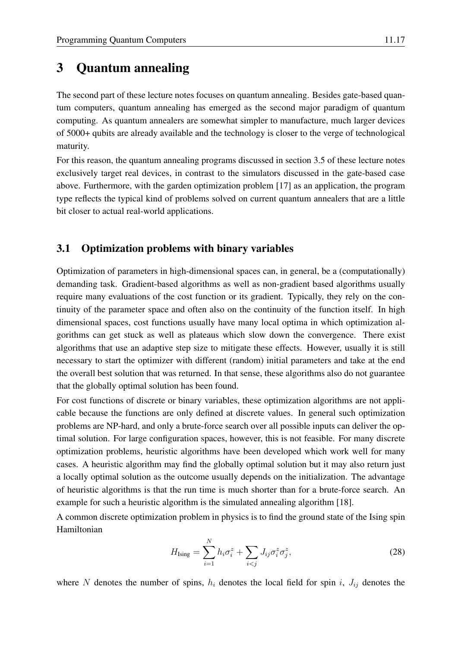## <span id="page-16-0"></span>3 Quantum annealing

The second part of these lecture notes focuses on quantum annealing. Besides gate-based quantum computers, quantum annealing has emerged as the second major paradigm of quantum computing. As quantum annealers are somewhat simpler to manufacture, much larger devices of 5000+ qubits are already available and the technology is closer to the verge of technological maturity.

For this reason, the quantum annealing programs discussed in section [3.5](#page-21-0) of these lecture notes exclusively target real devices, in contrast to the simulators discussed in the gate-based case above. Furthermore, with the garden optimization problem [\[17\]](#page-35-1) as an application, the program type reflects the typical kind of problems solved on current quantum annealers that are a little bit closer to actual real-world applications.

## <span id="page-16-1"></span>3.1 Optimization problems with binary variables

Optimization of parameters in high-dimensional spaces can, in general, be a (computationally) demanding task. Gradient-based algorithms as well as non-gradient based algorithms usually require many evaluations of the cost function or its gradient. Typically, they rely on the continuity of the parameter space and often also on the continuity of the function itself. In high dimensional spaces, cost functions usually have many local optima in which optimization algorithms can get stuck as well as plateaus which slow down the convergence. There exist algorithms that use an adaptive step size to mitigate these effects. However, usually it is still necessary to start the optimizer with different (random) initial parameters and take at the end the overall best solution that was returned. In that sense, these algorithms also do not guarantee that the globally optimal solution has been found.

For cost functions of discrete or binary variables, these optimization algorithms are not applicable because the functions are only defined at discrete values. In general such optimization problems are NP-hard, and only a brute-force search over all possible inputs can deliver the optimal solution. For large configuration spaces, however, this is not feasible. For many discrete optimization problems, heuristic algorithms have been developed which work well for many cases. A heuristic algorithm may find the globally optimal solution but it may also return just a locally optimal solution as the outcome usually depends on the initialization. The advantage of heuristic algorithms is that the run time is much shorter than for a brute-force search. An example for such a heuristic algorithm is the simulated annealing algorithm [\[18\]](#page-35-2).

A common discrete optimization problem in physics is to find the ground state of the Ising spin Hamiltonian

<span id="page-16-2"></span>
$$
H_{\text{Ising}} = \sum_{i=1}^{N} h_i \sigma_i^z + \sum_{i < j} J_{ij} \sigma_i^z \sigma_j^z,\tag{28}
$$

where N denotes the number of spins,  $h_i$  denotes the local field for spin i,  $J_{ij}$  denotes the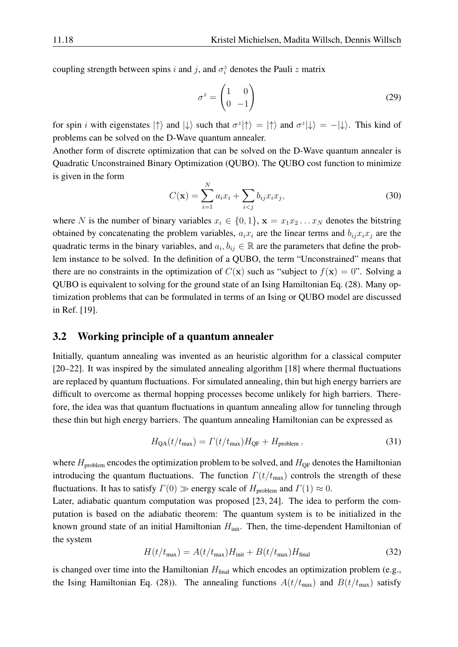coupling strength between spins i and j, and  $\sigma_i^z$  denotes the Pauli z matrix

$$
\sigma^z = \begin{pmatrix} 1 & 0 \\ 0 & -1 \end{pmatrix} \tag{29}
$$

for spin *i* with eigenstates  $|\uparrow\rangle$  and  $|\downarrow\rangle$  such that  $\sigma^z|\uparrow\rangle = |\uparrow\rangle$  and  $\sigma^z|\downarrow\rangle = -|\downarrow\rangle$ . This kind of problems can be solved on the D-Wave quantum annealer.

Another form of discrete optimization that can be solved on the D-Wave quantum annealer is Quadratic Unconstrained Binary Optimization (QUBO). The QUBO cost function to minimize is given in the form

$$
C(\mathbf{x}) = \sum_{i=1}^{N} a_i x_i + \sum_{i < j} b_{ij} x_i x_j,\tag{30}
$$

where N is the number of binary variables  $x_i \in \{0, 1\}$ ,  $\mathbf{x} = x_1 x_2 \dots x_N$  denotes the bitstring obtained by concatenating the problem variables,  $a_i x_i$  are the linear terms and  $b_{ij} x_i x_j$  are the quadratic terms in the binary variables, and  $a_i, b_{ij} \in \mathbb{R}$  are the parameters that define the problem instance to be solved. In the definition of a QUBO, the term "Unconstrained" means that there are no constraints in the optimization of  $C(\mathbf{x})$  such as "subject to  $f(\mathbf{x}) = 0$ ". Solving a QUBO is equivalent to solving for the ground state of an Ising Hamiltonian Eq. [\(28\)](#page-16-2). Many optimization problems that can be formulated in terms of an Ising or QUBO model are discussed in Ref. [\[19\]](#page-35-3).

### <span id="page-17-0"></span>3.2 Working principle of a quantum annealer

Initially, quantum annealing was invented as an heuristic algorithm for a classical computer [\[20–](#page-35-4)[22\]](#page-35-5). It was inspired by the simulated annealing algorithm [\[18\]](#page-35-2) where thermal fluctuations are replaced by quantum fluctuations. For simulated annealing, thin but high energy barriers are difficult to overcome as thermal hopping processes become unlikely for high barriers. Therefore, the idea was that quantum fluctuations in quantum annealing allow for tunneling through these thin but high energy barriers. The quantum annealing Hamiltonian can be expressed as

<span id="page-17-2"></span>
$$
H_{\rm QA}(t/t_{\rm max}) = \Gamma(t/t_{\rm max})H_{\rm QF} + H_{\rm problem},\qquad(31)
$$

where  $H_{\text{problem}}$  encodes the optimization problem to be solved, and  $H_{\text{QF}}$  denotes the Hamiltonian introducing the quantum fluctuations. The function  $\Gamma(t/t_{\text{max}})$  controls the strength of these fluctuations. It has to satisfy  $\Gamma(0) \gg$  energy scale of  $H_{\text{problem}}$  and  $\Gamma(1) \approx 0$ .

Later, adiabatic quantum computation was proposed [\[23,](#page-35-6) [24\]](#page-35-7). The idea to perform the computation is based on the adiabatic theorem: The quantum system is to be initialized in the known ground state of an initial Hamiltonian  $H_{\text{init}}$ . Then, the time-dependent Hamiltonian of the system

<span id="page-17-1"></span>
$$
H(t/t_{\text{max}}) = A(t/t_{\text{max}})H_{\text{init}} + B(t/t_{\text{max}})H_{\text{final}}
$$
\n(32)

is changed over time into the Hamiltonian  $H_{final}$  which encodes an optimization problem (e.g., the Ising Hamiltonian Eq. [\(28\)](#page-16-2)). The annealing functions  $A(t/t_{\text{max}})$  and  $B(t/t_{\text{max}})$  satisfy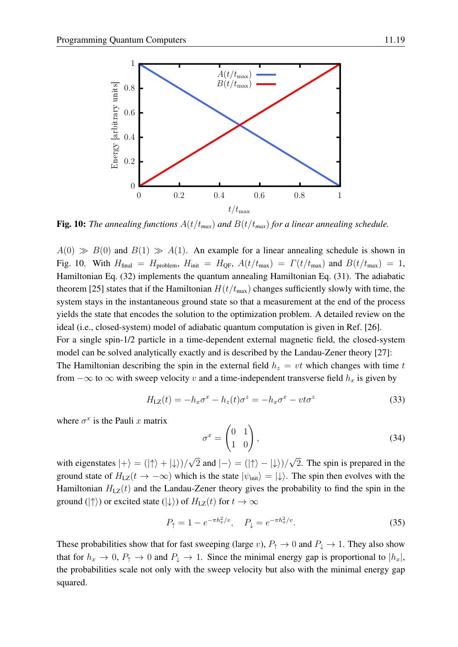

<span id="page-18-0"></span>**Fig. 10:** *The annealing functions*  $A(t/t_{max})$  *and*  $B(t/t_{max})$  *for a linear annealing schedule.* 

 $A(0) \gg B(0)$  and  $B(1) \gg A(1)$ . An example for a linear annealing schedule is shown in Fig. [10.](#page-18-0) With  $H_{\text{final}} = H_{\text{problem}}$ ,  $H_{\text{init}} = H_{\text{QF}}$ ,  $A(t/t_{\text{max}}) = \Gamma(t/t_{\text{max}})$  and  $B(t/t_{\text{max}}) = 1$ , Hamiltonian Eq. [\(32\)](#page-17-1) implements the quantum annealing Hamiltonian Eq. [\(31\)](#page-17-2). The adiabatic theorem [\[25\]](#page-35-8) states that if the Hamiltonian  $H(t/t_{\text{max}})$  changes sufficiently slowly with time, the system stays in the instantaneous ground state so that a measurement at the end of the process yields the state that encodes the solution to the optimization problem. A detailed review on the ideal (i.e., closed-system) model of adiabatic quantum computation is given in Ref. [\[26\]](#page-35-9). For a single spin-1/2 particle in a time-dependent external magnetic field, the closed-system model can be solved analytically exactly and is described by the Landau-Zener theory [\[27\]](#page-35-10): The Hamiltonian describing the spin in the external field  $h<sub>z</sub> = vt$  which changes with time t from  $-\infty$  to  $\infty$  with sweep velocity v and a time-independent transverse field  $h_x$  is given by

$$
H_{\text{LZ}}(t) = -h_x \sigma^x - h_z(t) \sigma^z = -h_x \sigma^x - vt \sigma^z \tag{33}
$$

where  $\sigma^x$  is the Pauli x matrix

$$
\sigma^x = \begin{pmatrix} 0 & 1 \\ 1 & 0 \end{pmatrix},\tag{34}
$$

with eigenstates  $|+\rangle = (|\uparrow\rangle + |\downarrow\rangle)/$ √ 2 and  $|-\rangle = (|\uparrow\rangle - |\downarrow\rangle)/$ 2. The spin is prepared in the ground state of  $H_{LZ}(t \to -\infty)$  which is the state  $|\psi_{init}\rangle = |\downarrow\rangle$ . The spin then evolves with the Hamiltonian  $H_{LZ}(t)$  and the Landau-Zener theory gives the probability to find the spin in the ground ( $|\uparrow\rangle$ ) or excited state ( $|\downarrow\rangle$ ) of  $H_{\text{LZ}}(t)$  for  $t \to \infty$ 

$$
P_{\uparrow} = 1 - e^{-\pi h_x^2/v}, \quad P_{\downarrow} = e^{-\pi h_x^2/v}.
$$
 (35)

These probabilities show that for fast sweeping (large v),  $P_{\uparrow} \to 0$  and  $P_{\downarrow} \to 1$ . They also show that for  $h_x \to 0$ ,  $P_\uparrow \to 0$  and  $P_\downarrow \to 1$ . Since the minimal energy gap is proportional to  $|h_x|$ , the probabilities scale not only with the sweep velocity but also with the minimal energy gap squared.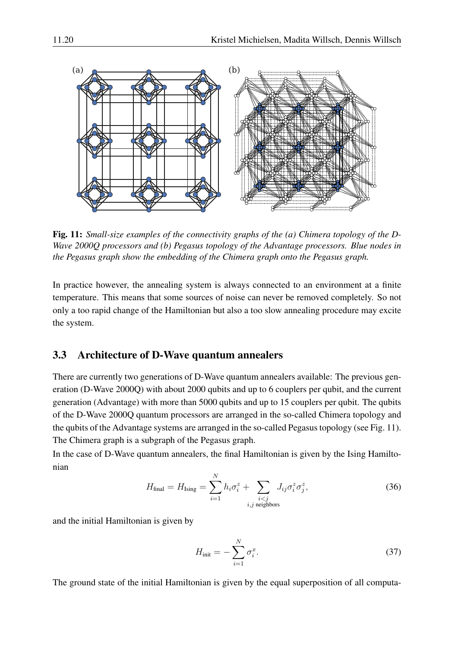

<span id="page-19-1"></span>Fig. 11: *Small-size examples of the connectivity graphs of the (a) Chimera topology of the D-Wave 2000Q processors and (b) Pegasus topology of the Advantage processors. Blue nodes in the Pegasus graph show the embedding of the Chimera graph onto the Pegasus graph.*

In practice however, the annealing system is always connected to an environment at a finite temperature. This means that some sources of noise can never be removed completely. So not only a too rapid change of the Hamiltonian but also a too slow annealing procedure may excite the system.

#### <span id="page-19-0"></span>3.3 Architecture of D-Wave quantum annealers

There are currently two generations of D-Wave quantum annealers available: The previous generation (D-Wave 2000Q) with about 2000 qubits and up to 6 couplers per qubit, and the current generation (Advantage) with more than 5000 qubits and up to 15 couplers per qubit. The qubits of the D-Wave 2000Q quantum processors are arranged in the so-called Chimera topology and the qubits of the Advantage systems are arranged in the so-called Pegasus topology (see Fig. [11\)](#page-19-1). The Chimera graph is a subgraph of the Pegasus graph.

In the case of D-Wave quantum annealers, the final Hamiltonian is given by the Ising Hamiltonian

<span id="page-19-2"></span>
$$
H_{\text{final}} = H_{\text{Ising}} = \sum_{i=1}^{N} h_i \sigma_i^z + \sum_{\substack{i < j \\ i, j \text{ neighbors}}} J_{ij} \sigma_i^z \sigma_j^z,\tag{36}
$$

and the initial Hamiltonian is given by

<span id="page-19-3"></span>
$$
H_{\text{init}} = -\sum_{i=1}^{N} \sigma_i^x. \tag{37}
$$

The ground state of the initial Hamiltonian is given by the equal superposition of all computa-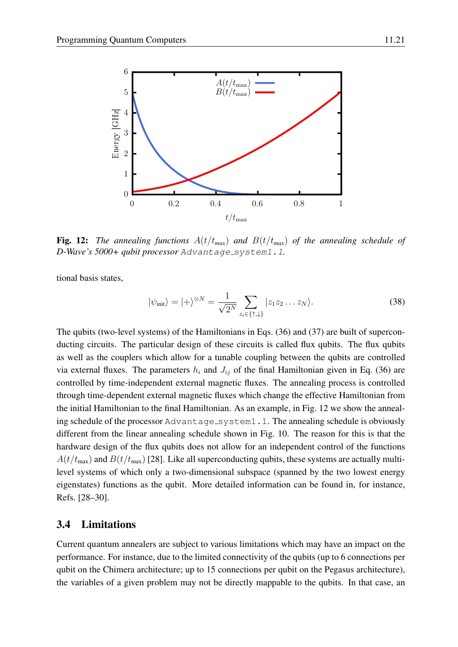

<span id="page-20-1"></span>**Fig. 12:** *The annealing functions*  $A(t/t_{max})$  *and*  $B(t/t_{max})$  *of the annealing schedule of D-Wave's 5000+ qubit processor* Advantage system1.1*.*

tional basis states,

$$
|\psi_{\text{init}}\rangle = |+\rangle^{\otimes N} = \frac{1}{\sqrt{2^N}} \sum_{z_i \in \{\uparrow, \downarrow\}} |z_1 z_2 \dots z_N\rangle.
$$
 (38)

The qubits (two-level systems) of the Hamiltonians in Eqs. [\(36\)](#page-19-2) and [\(37\)](#page-19-3) are built of superconducting circuits. The particular design of these circuits is called flux qubits. The flux qubits as well as the couplers which allow for a tunable coupling between the qubits are controlled via external fluxes. The parameters  $h_i$  and  $J_{ij}$  of the final Hamiltonian given in Eq. [\(36\)](#page-19-2) are controlled by time-independent external magnetic fluxes. The annealing process is controlled through time-dependent external magnetic fluxes which change the effective Hamiltonian from the initial Hamiltonian to the final Hamiltonian. As an example, in Fig. [12](#page-20-1) we show the annealing schedule of the processor Advantage\_system1.1. The annealing schedule is obviously different from the linear annealing schedule shown in Fig. [10.](#page-18-0) The reason for this is that the hardware design of the flux qubits does not allow for an independent control of the functions  $A(t/t_{\text{max}})$  and  $B(t/t_{\text{max}})$  [\[28\]](#page-35-11). Like all superconducting qubits, these systems are actually multilevel systems of which only a two-dimensional subspace (spanned by the two lowest energy eigenstates) functions as the qubit. More detailed information can be found in, for instance, Refs. [\[28–](#page-35-11)[30\]](#page-35-12).

### <span id="page-20-0"></span>3.4 Limitations

Current quantum annealers are subject to various limitations which may have an impact on the performance. For instance, due to the limited connectivity of the qubits (up to 6 connections per qubit on the Chimera architecture; up to 15 connections per qubit on the Pegasus architecture), the variables of a given problem may not be directly mappable to the qubits. In that case, an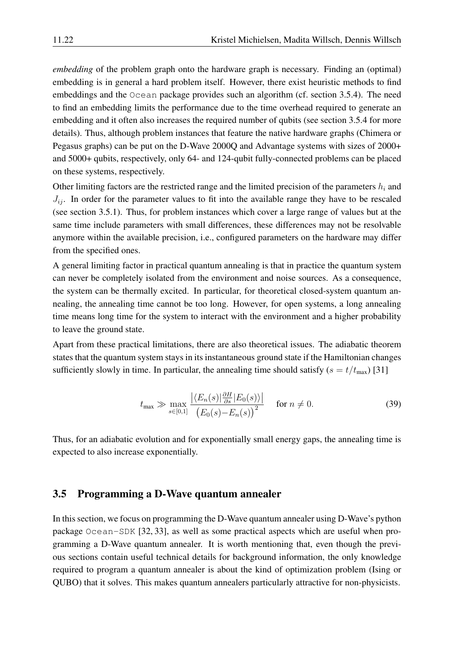*embedding* of the problem graph onto the hardware graph is necessary. Finding an (optimal) embedding is in general a hard problem itself. However, there exist heuristic methods to find embeddings and the Ocean package provides such an algorithm (cf. section [3.5.4\)](#page-26-0). The need to find an embedding limits the performance due to the time overhead required to generate an embedding and it often also increases the required number of qubits (see section [3.5.4](#page-26-0) for more details). Thus, although problem instances that feature the native hardware graphs (Chimera or Pegasus graphs) can be put on the D-Wave 2000Q and Advantage systems with sizes of 2000+ and 5000+ qubits, respectively, only 64- and 124-qubit fully-connected problems can be placed on these systems, respectively.

Other limiting factors are the restricted range and the limited precision of the parameters  $h_i$  and  $J_{ij}$ . In order for the parameter values to fit into the available range they have to be rescaled (see section [3.5.1\)](#page-22-0). Thus, for problem instances which cover a large range of values but at the same time include parameters with small differences, these differences may not be resolvable anymore within the available precision, i.e., configured parameters on the hardware may differ from the specified ones.

A general limiting factor in practical quantum annealing is that in practice the quantum system can never be completely isolated from the environment and noise sources. As a consequence, the system can be thermally excited. In particular, for theoretical closed-system quantum annealing, the annealing time cannot be too long. However, for open systems, a long annealing time means long time for the system to interact with the environment and a higher probability to leave the ground state.

Apart from these practical limitations, there are also theoretical issues. The adiabatic theorem states that the quantum system stays in its instantaneous ground state if the Hamiltonian changes sufficiently slowly in time. In particular, the annealing time should satisfy  $(s = t/t_{\text{max}})$  [\[31\]](#page-35-13)

$$
t_{\max} \gg \max_{s \in [0,1]} \frac{\left| \langle E_n(s) | \frac{\partial H}{\partial s} | E_0(s) \rangle \right|}{\left( E_0(s) - E_n(s) \right)^2} \quad \text{for } n \neq 0. \tag{39}
$$

Thus, for an adiabatic evolution and for exponentially small energy gaps, the annealing time is expected to also increase exponentially.

#### <span id="page-21-0"></span>3.5 Programming a D-Wave quantum annealer

In this section, we focus on programming the D-Wave quantum annealer using D-Wave's python package Ocean-SDK [\[32,](#page-35-14) [33\]](#page-35-15), as well as some practical aspects which are useful when programming a D-Wave quantum annealer. It is worth mentioning that, even though the previous sections contain useful technical details for background information, the only knowledge required to program a quantum annealer is about the kind of optimization problem (Ising or QUBO) that it solves. This makes quantum annealers particularly attractive for non-physicists.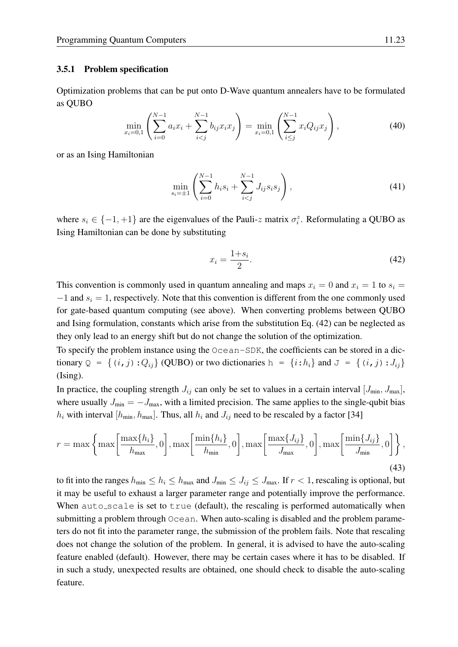#### <span id="page-22-0"></span>3.5.1 Problem specification

Optimization problems that can be put onto D-Wave quantum annealers have to be formulated as QUBO

$$
\min_{x_i=0,1} \left( \sum_{i=0}^{N-1} a_i x_i + \sum_{i
$$

or as an Ising Hamiltonian

<span id="page-22-3"></span>
$$
\min_{s_i=\pm 1} \left( \sum_{i=0}^{N-1} h_i s_i + \sum_{i
$$

where  $s_i \in \{-1, +1\}$  are the eigenvalues of the Pauli-z matrix  $\sigma_i^z$ . Reformulating a QUBO as Ising Hamiltonian can be done by substituting

<span id="page-22-1"></span>
$$
x_i = \frac{1+s_i}{2}.\tag{42}
$$

This convention is commonly used in quantum annealing and maps  $x_i = 0$  and  $x_i = 1$  to  $s_i =$  $-1$  and  $s_i = 1$ , respectively. Note that this convention is different from the one commonly used for gate-based quantum computing (see above). When converting problems between QUBO and Ising formulation, constants which arise from the substitution Eq. [\(42\)](#page-22-1) can be neglected as they only lead to an energy shift but do not change the solution of the optimization.

To specify the problem instance using the Ocean-SDK, the coefficients can be stored in a dictionary  $Q = \{(i, j): Q_{ij}\}\$  (QUBO) or two dictionaries  $h = \{i: h_i\}$  and  $J = \{(i, j): J_{ij}\}\$ (Ising).

In practice, the coupling strength  $J_{ij}$  can only be set to values in a certain interval  $[J_{min}, J_{max}]$ , where usually  $J_{\text{min}} = -J_{\text{max}}$ , with a limited precision. The same applies to the single-qubit bias  $h_i$  with interval  $[h_{min}, h_{max}]$ . Thus, all  $h_i$  and  $J_{ij}$  need to be rescaled by a factor [\[34\]](#page-35-16)

<span id="page-22-2"></span>
$$
r = \max\left\{\max\left[\frac{\max\{h_i\}}{h_{\max}}, 0\right], \max\left[\frac{\min\{h_i\}}{h_{\min}}, 0\right], \max\left[\frac{\max\{J_{ij}\}}{J_{\max}}, 0\right], \max\left[\frac{\min\{J_{ij}\}}{J_{\min}}, 0\right] \right\},\tag{43}
$$

to fit into the ranges  $h_{\min} \leq h_i \leq h_{\max}$  and  $J_{\min} \leq J_{ij} \leq J_{\max}$ . If  $r < 1$ , rescaling is optional, but it may be useful to exhaust a larger parameter range and potentially improve the performance. When auto scale is set to true (default), the rescaling is performed automatically when submitting a problem through Ocean. When auto-scaling is disabled and the problem parameters do not fit into the parameter range, the submission of the problem fails. Note that rescaling does not change the solution of the problem. In general, it is advised to have the auto-scaling feature enabled (default). However, there may be certain cases where it has to be disabled. If in such a study, unexpected results are obtained, one should check to disable the auto-scaling feature.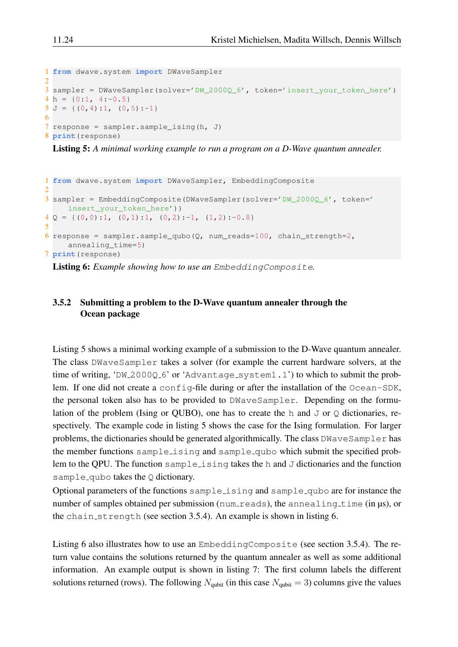```
1 from dwave.system import DWaveSampler
\overline{2}3 sampler = DWaveSampler(solver='DW_2000Q_6', token='insert_your_token_here')
4 h = \{0:1, 4:-0.5\}5 J = \{(0, 4):1, (0, 5):-1\}6
7 response = sampler.sample_ising(h, J)
8 print(response)
```
Listing 5: *A minimal working example to run a program on a D-Wave quantum annealer.*

```
1 from dwave.system import DWaveSampler, EmbeddingComposite
2
3 sampler = EmbeddingComposite(DWaveSampler(solver='DW_2000Q_6', token='
    insert_your_token_here'))
4 \Omega = \{ (0,0):1, (0,1):1, (0,2):-1, (1,2):-0.8 \}5
6 response = sampler.sample_qubo(Q, num_reads=100, chain_strength=2,
     annealing_time=5)
7 print(response)
```
Listing 6: *Example showing how to use an* EmbeddingComposite*.*

### 3.5.2 Submitting a problem to the D-Wave quantum annealer through the Ocean package

Listing [5](#page-23-0) shows a minimal working example of a submission to the D-Wave quantum annealer. The class DWaveSampler takes a solver (for example the current hardware solvers, at the time of writing, 'DW\_2000Q\_6' or 'Advantage\_system1.1') to which to submit the problem. If one did not create a config-file during or after the installation of the Ocean-SDK, the personal token also has to be provided to DWaveSampler. Depending on the formulation of the problem (Ising or QUBO), one has to create the h and  $J$  or  $Q$  dictionaries, respectively. The example code in listing [5](#page-23-0) shows the case for the Ising formulation. For larger problems, the dictionaries should be generated algorithmically. The class DWaveSampler has the member functions sample ising and sample qubo which submit the specified problem to the QPU. The function sample ising takes the h and  $J$  dictionaries and the function sample qubo takes the  $Q$  dictionary.

Optional parameters of the functions sample\_ising and sample\_qubo are for instance the number of samples obtained per submission (num reads), the annealing time (in  $\mu s$ ), or the chain strength (see section [3.5.4\)](#page-26-0). An example is shown in listing [6.](#page-23-1)

Listing [6](#page-23-1) also illustrates how to use an EmbeddingComposite (see section [3.5.4\)](#page-26-0). The return value contains the solutions returned by the quantum annealer as well as some additional information. An example output is shown in listing [7:](#page-24-0) The first column labels the different solutions returned (rows). The following  $N_{\text{qubit}}$  (in this case  $N_{\text{qubit}} = 3$ ) columns give the values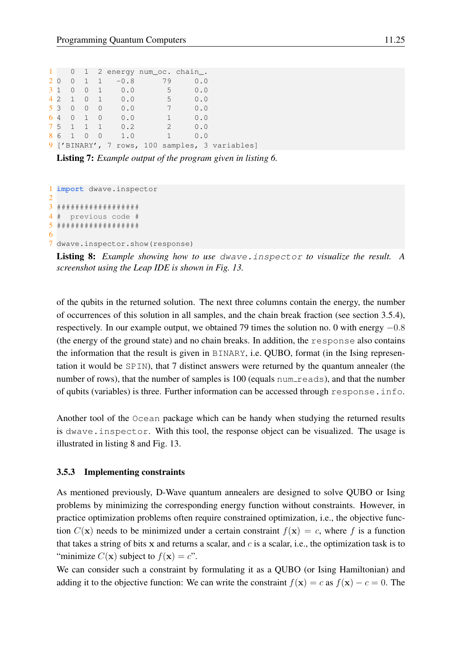<span id="page-24-0"></span>

|  |       |  |                | 1 0 1 2 energy num_oc. chain_. |                       |                                                |
|--|-------|--|----------------|--------------------------------|-----------------------|------------------------------------------------|
|  |       |  | $20011 - -0.8$ | 79                             | 0.0                   |                                                |
|  |       |  | 310010.0       | 5 <sup>7</sup>                 | 0.0                   |                                                |
|  |       |  | 4 2 1 0 1 0.0  | 5 <sup>7</sup>                 | 0.0                   |                                                |
|  |       |  | 5 3 0 0 0 0.0  | 7 <sup>7</sup>                 | 0.0                   |                                                |
|  |       |  | 6 4 0 1 0 0.0  | $\left(1\right)$               | 0.0                   |                                                |
|  |       |  | 7 5 1 1 1 0.2  |                                | $\overline{2}$<br>0.0 |                                                |
|  | 86100 |  | 1.0            | $\mathbf{1}$                   | 0.0                   |                                                |
|  |       |  |                |                                |                       | 9 ['BINARY', 7 rows, 100 samples, 3 variables] |

Listing 7: *Example output of the program given in listing [6.](#page-23-1)*

```
1 import dwave.inspector
2
3 ##################
4 # previous code #
5 ##################
6
```
7 dwave.inspector.show(response)

Listing 8: *Example showing how to use* dwave.inspector *to visualize the result. A screenshot using the Leap IDE is shown in Fig. [13.](#page-25-0)*

of the qubits in the returned solution. The next three columns contain the energy, the number of occurrences of this solution in all samples, and the chain break fraction (see section [3.5.4\)](#page-26-0), respectively. In our example output, we obtained 79 times the solution no. 0 with energy  $-0.8$ (the energy of the ground state) and no chain breaks. In addition, the response also contains the information that the result is given in BINARY, i.e. QUBO, format (in the Ising representation it would be SPIN), that 7 distinct answers were returned by the quantum annealer (the number of rows), that the number of samples is 100 (equals num reads), and that the number of qubits (variables) is three. Further information can be accessed through response.info.

Another tool of the Ocean package which can be handy when studying the returned results is dwave.inspector. With this tool, the response object can be visualized. The usage is illustrated in listing [8](#page-24-1) and Fig. [13.](#page-25-0)

#### 3.5.3 Implementing constraints

As mentioned previously, D-Wave quantum annealers are designed to solve QUBO or Ising problems by minimizing the corresponding energy function without constraints. However, in practice optimization problems often require constrained optimization, i.e., the objective function  $C(\mathbf{x})$  needs to be minimized under a certain constraint  $f(\mathbf{x}) = c$ , where f is a function that takes a string of bits x and returns a scalar, and  $c$  is a scalar, i.e., the optimization task is to "minimize  $C(\mathbf{x})$  subject to  $f(\mathbf{x}) = c$ ".

We can consider such a constraint by formulating it as a QUBO (or Ising Hamiltonian) and adding it to the objective function: We can write the constraint  $f(\mathbf{x}) = c$  as  $f(\mathbf{x}) - c = 0$ . The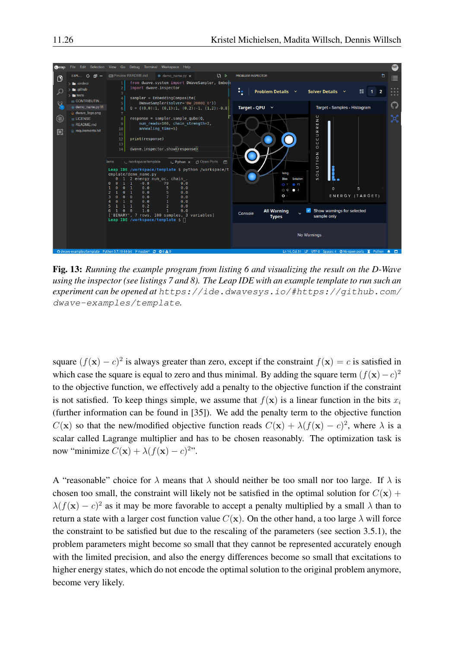

<span id="page-25-0"></span>Fig. 13: *Running the example program from listing [6](#page-23-1) and visualizing the result on the D-Wave using the inspector (see listings [7](#page-24-0) and [8\)](#page-24-1). The Leap IDE with an example template to run such an experiment can be opened at* [https://ide.dwavesys.io/#https://github.com/](https://ide.dwavesys.io/#https://github.com/dwave-examples/template) [dwave-examples/template](https://ide.dwavesys.io/#https://github.com/dwave-examples/template)*.*

square  $(f(\mathbf{x}) - c)^2$  is always greater than zero, except if the constraint  $f(\mathbf{x}) = c$  is satisfied in which case the square is equal to zero and thus minimal. By adding the square term  $(f(\mathbf{x})-c)^2$ to the objective function, we effectively add a penalty to the objective function if the constraint is not satisfied. To keep things simple, we assume that  $f(\mathbf{x})$  is a linear function in the bits  $x_i$ (further information can be found in [\[35\]](#page-35-17)). We add the penalty term to the objective function  $C(\mathbf{x})$  so that the new/modified objective function reads  $C(\mathbf{x}) + \lambda (f(\mathbf{x}) - c)^2$ , where  $\lambda$  is a scalar called Lagrange multiplier and has to be chosen reasonably. The optimization task is now "minimize  $C(\mathbf{x}) + \lambda (f(\mathbf{x}) - c)^{2n}$ .

A "reasonable" choice for  $\lambda$  means that  $\lambda$  should neither be too small nor too large. If  $\lambda$  is chosen too small, the constraint will likely not be satisfied in the optimal solution for  $C(\mathbf{x})$  +  $\lambda(f(\mathbf{x}) - c)^2$  as it may be more favorable to accept a penalty multiplied by a small  $\lambda$  than to return a state with a larger cost function value  $C(\mathbf{x})$ . On the other hand, a too large  $\lambda$  will force the constraint to be satisfied but due to the rescaling of the parameters (see section [3.5.1\)](#page-22-0), the problem parameters might become so small that they cannot be represented accurately enough with the limited precision, and also the energy differences become so small that excitations to higher energy states, which do not encode the optimal solution to the original problem anymore, become very likely.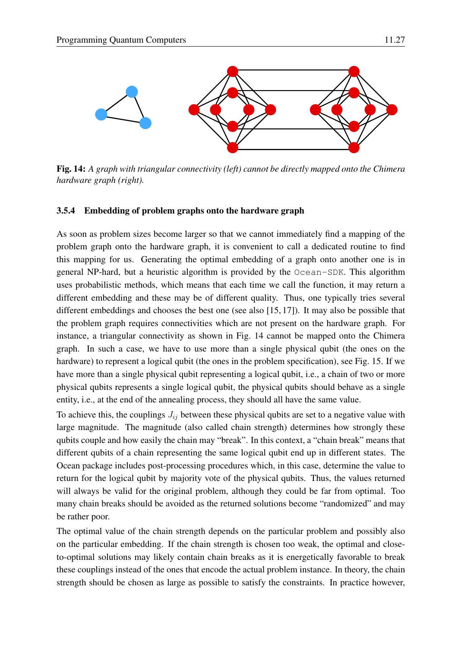

<span id="page-26-1"></span>Fig. 14: *A graph with triangular connectivity (left) cannot be directly mapped onto the Chimera hardware graph (right).*

#### <span id="page-26-0"></span>3.5.4 Embedding of problem graphs onto the hardware graph

As soon as problem sizes become larger so that we cannot immediately find a mapping of the problem graph onto the hardware graph, it is convenient to call a dedicated routine to find this mapping for us. Generating the optimal embedding of a graph onto another one is in general NP-hard, but a heuristic algorithm is provided by the Ocean-SDK. This algorithm uses probabilistic methods, which means that each time we call the function, it may return a different embedding and these may be of different quality. Thus, one typically tries several different embeddings and chooses the best one (see also [\[15,](#page-34-14) [17\]](#page-35-1)). It may also be possible that the problem graph requires connectivities which are not present on the hardware graph. For instance, a triangular connectivity as shown in Fig. [14](#page-26-1) cannot be mapped onto the Chimera graph. In such a case, we have to use more than a single physical qubit (the ones on the hardware) to represent a logical qubit (the ones in the problem specification), see Fig. [15.](#page-27-0) If we have more than a single physical qubit representing a logical qubit, i.e., a chain of two or more physical qubits represents a single logical qubit, the physical qubits should behave as a single entity, i.e., at the end of the annealing process, they should all have the same value.

To achieve this, the couplings  $J_{ij}$  between these physical qubits are set to a negative value with large magnitude. The magnitude (also called chain strength) determines how strongly these qubits couple and how easily the chain may "break". In this context, a "chain break" means that different qubits of a chain representing the same logical qubit end up in different states. The Ocean package includes post-processing procedures which, in this case, determine the value to return for the logical qubit by majority vote of the physical qubits. Thus, the values returned will always be valid for the original problem, although they could be far from optimal. Too many chain breaks should be avoided as the returned solutions become "randomized" and may be rather poor.

The optimal value of the chain strength depends on the particular problem and possibly also on the particular embedding. If the chain strength is chosen too weak, the optimal and closeto-optimal solutions may likely contain chain breaks as it is energetically favorable to break these couplings instead of the ones that encode the actual problem instance. In theory, the chain strength should be chosen as large as possible to satisfy the constraints. In practice however,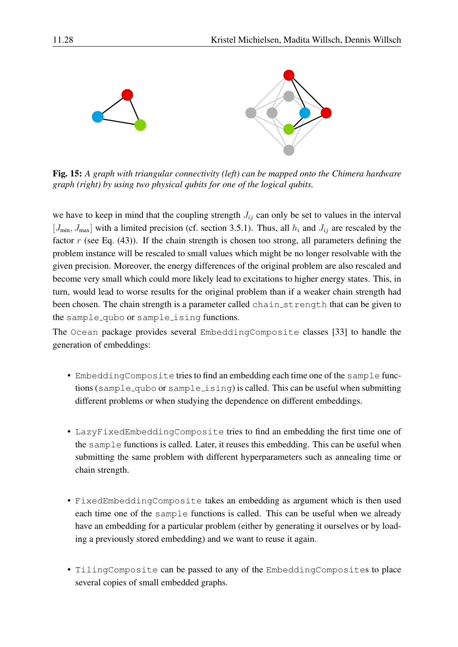

<span id="page-27-0"></span>Fig. 15: *A graph with triangular connectivity (left) can be mapped onto the Chimera hardware graph (right) by using two physical qubits for one of the logical qubits.*

we have to keep in mind that the coupling strength  $J_{ij}$  can only be set to values in the interval  $[J_{\min}, J_{\max}]$  with a limited precision (cf. section [3.5.1\)](#page-22-0). Thus, all  $h_i$  and  $J_{ij}$  are rescaled by the factor  $r$  (see Eq. [\(43\)](#page-22-2)). If the chain strength is chosen too strong, all parameters defining the problem instance will be rescaled to small values which might be no longer resolvable with the given precision. Moreover, the energy differences of the original problem are also rescaled and become very small which could more likely lead to excitations to higher energy states. This, in turn, would lead to worse results for the original problem than if a weaker chain strength had been chosen. The chain strength is a parameter called chain\_strength that can be given to the sample qubo or sample ising functions.

The Ocean package provides several EmbeddingComposite classes [\[33\]](#page-35-15) to handle the generation of embeddings:

- EmbeddingComposite tries to find an embedding each time one of the sample functions (sample qubo or sample ising) is called. This can be useful when submitting different problems or when studying the dependence on different embeddings.
- LazyFixedEmbeddingComposite tries to find an embedding the first time one of the sample functions is called. Later, it reuses this embedding. This can be useful when submitting the same problem with different hyperparameters such as annealing time or chain strength.
- FixedEmbeddingComposite takes an embedding as argument which is then used each time one of the sample functions is called. This can be useful when we already have an embedding for a particular problem (either by generating it ourselves or by loading a previously stored embedding) and we want to reuse it again.
- TilingComposite can be passed to any of the EmbeddingComposites to place several copies of small embedded graphs.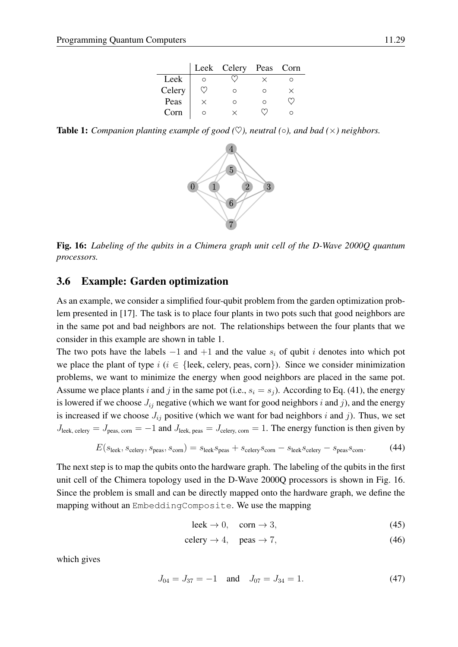|        |   | Leek Celery Peas Corn |  |
|--------|---|-----------------------|--|
| Leek   |   |                       |  |
| Celery |   | ∩                     |  |
| Peas   | × | ∩                     |  |
| Corn   |   |                       |  |

<span id="page-28-1"></span>**Table 1:** *Companion planting example of good* ( $\heartsuit$ ), *neutral* ( $\circ$ ), *and bad* ( $\times$ ) *neighbors.* 



<span id="page-28-2"></span>Fig. 16: *Labeling of the qubits in a Chimera graph unit cell of the D-Wave 2000Q quantum processors.*

#### <span id="page-28-0"></span>3.6 Example: Garden optimization

As an example, we consider a simplified four-qubit problem from the garden optimization problem presented in [\[17\]](#page-35-1). The task is to place four plants in two pots such that good neighbors are in the same pot and bad neighbors are not. The relationships between the four plants that we consider in this example are shown in table [1.](#page-28-1)

The two pots have the labels  $-1$  and  $+1$  and the value  $s_i$  of qubit i denotes into which pot we place the plant of type  $i$  ( $i \in \{$ leek, celery, peas, corn $\}$ ). Since we consider minimization problems, we want to minimize the energy when good neighbors are placed in the same pot. Assume we place plants i and j in the same pot (i.e.,  $s_i = s_j$ ). According to Eq. [\(41\)](#page-22-3), the energy is lowered if we choose  $J_{ij}$  negative (which we want for good neighbors i and j), and the energy is increased if we choose  $J_{ij}$  positive (which we want for bad neighbors i and j). Thus, we set  $J_{\text{leek, celery}} = J_{\text{peas, corn}} = -1$  and  $J_{\text{leek, peas}} = J_{\text{celery, corn}} = 1$ . The energy function is then given by

$$
E(s_{\text{leek}}, s_{\text{celery}}, s_{\text{peas}}, s_{\text{corn}}) = s_{\text{leek}} s_{\text{peas}} + s_{\text{celery}} s_{\text{corn}} - s_{\text{leek}} s_{\text{celery}} - s_{\text{peas}} s_{\text{corn}}.
$$
(44)

The next step is to map the qubits onto the hardware graph. The labeling of the qubits in the first unit cell of the Chimera topology used in the D-Wave 2000Q processors is shown in Fig. [16.](#page-28-2) Since the problem is small and can be directly mapped onto the hardware graph, we define the mapping without an EmbeddingComposite. We use the mapping

$$
leek \to 0, \quad \text{corn} \to 3,\tag{45}
$$

$$
celery \to 4, \quad pears \to 7,\tag{46}
$$

which gives

$$
J_{04} = J_{37} = -1 \quad \text{and} \quad J_{07} = J_{34} = 1. \tag{47}
$$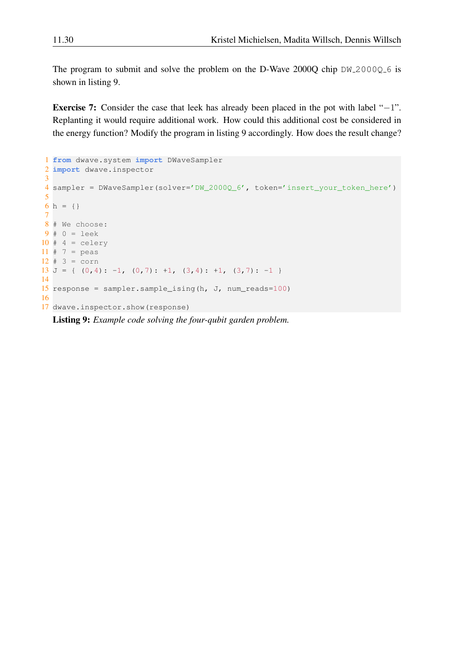The program to submit and solve the problem on the D-Wave 2000Q chip  $DW_2000Q_6$  is shown in listing [9.](#page-29-0)

Exercise 7: Consider the case that leek has already been placed in the pot with label "−1". Replanting it would require additional work. How could this additional cost be considered in the energy function? Modify the program in listing [9](#page-29-0) accordingly. How does the result change?

```
1 from dwave.system import DWaveSampler
2 import dwave.inspector
3
4 sampler = DWaveSampler(solver='DW_2000Q_6', token='insert_your_token_here')
5
6 h = {}
7
8 # We choose:
9#0 = leek10 # 4 = celery
11 \# 7 = peas
12 \# 3 = \text{corn}13 J = { (0, 4) : -1, (0, 7) : +1, (3, 4) : +1, (3, 7) : -1 }
14
15 response = sampler.sample_ising(h, J, num_reads=100)
16
17 dwave.inspector.show(response)
```
Listing 9: *Example code solving the four-qubit garden problem.*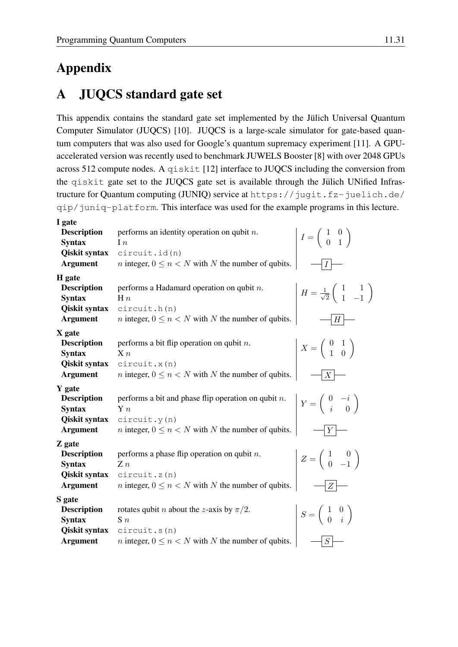# Appendix

# <span id="page-30-0"></span>A JUQCS standard gate set

This appendix contains the standard gate set implemented by the Jülich Universal Quantum Computer Simulator (JUQCS) [\[10\]](#page-34-9). JUQCS is a large-scale simulator for gate-based quantum computers that was also used for Google's quantum supremacy experiment [\[11\]](#page-34-10). A GPUaccelerated version was recently used to benchmark JUWELS Booster [\[8\]](#page-34-7) with over 2048 GPUs across 512 compute nodes. A qiskit [\[12\]](#page-34-11) interface to JUQCS including the conversion from the qiskit gate set to the JUQCS gate set is available through the Jülich UNified Infrastructure for Quantum computing (JUNIQ) service at [https://jugit.fz-juelich.de/](https://jugit.fz-juelich.de/qip/juniq-platform) [qip/juniq-platform](https://jugit.fz-juelich.de/qip/juniq-platform). This interface was used for the example programs in this lecture.

| performs an identity operation on qubit $n$ .<br>$I=\left(\begin{array}{cc} 1 & 0 \\ 0 & 1 \end{array}\right)$               |
|------------------------------------------------------------------------------------------------------------------------------|
|                                                                                                                              |
|                                                                                                                              |
|                                                                                                                              |
|                                                                                                                              |
| <i>n</i> integer, $0 \le n < N$ with N the number of qubits.                                                                 |
|                                                                                                                              |
| performs a Hadamard operation on qubit $n$ .<br>$H = \frac{1}{\sqrt{2}} \begin{pmatrix} 1 & 1 \\ 1 & -1 \end{pmatrix}$       |
|                                                                                                                              |
|                                                                                                                              |
| <i>n</i> integer, $0 \le n < N$ with N the number of qubits.<br>$H_{\parallel}$                                              |
|                                                                                                                              |
| performs a bit flip operation on qubit $n$ .<br>$X = \left(\begin{array}{cc} 0 & 1 \\ 1 & 0 \end{array}\right)$              |
|                                                                                                                              |
|                                                                                                                              |
| <i>n</i> integer, $0 \le n < N$ with N the number of qubits.<br>X                                                            |
|                                                                                                                              |
| performs a bit and phase flip operation on qubit $n$ .<br>$Y = \left( \begin{array}{cc} 0 & -i \\ i & 0 \end{array} \right)$ |
|                                                                                                                              |
|                                                                                                                              |
| <i>n</i> integer, $0 \le n < N$ with N the number of qubits.<br>$\boldsymbol{Y}$                                             |
|                                                                                                                              |
| performs a phase flip operation on qubit $n$ .                                                                               |
| $Z=\left(\begin{array}{cc} 1 & 0 \\ 0 & -1 \end{array}\right)$                                                               |
|                                                                                                                              |
| <i>n</i> integer, $0 \le n < N$ with N the number of qubits.<br>Z                                                            |
|                                                                                                                              |
| rotates qubit <i>n</i> about the <i>z</i> -axis by $\pi/2$ .                                                                 |
| $S = \left( \begin{array}{cc} 1 & 0 \\ 0 & i \end{array} \right)$                                                            |
|                                                                                                                              |
| <i>n</i> integer, $0 \le n < N$ with N the number of qubits.<br>S                                                            |
|                                                                                                                              |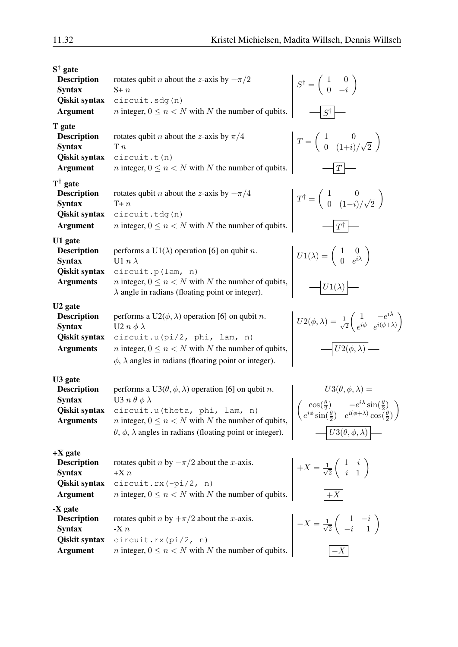| $S^{\dagger}$ gate<br><b>Description</b><br><b>Syntax</b><br><b>Qiskit syntax</b><br><b>Argument</b><br>T gate<br><b>Description</b> | rotates qubit <i>n</i> about the <i>z</i> -axis by $-\pi/2$<br>$S+n$<br>circuit.sdg(n)<br><i>n</i> integer, $0 \le n < N$ with N the number of qubits.<br>rotates qubit <i>n</i> about the <i>z</i> -axis by $\pi/4$                                                                                          | $S^{\dagger} = \left( \begin{array}{cc} 1 & 0 \\ 0 & -i \end{array} \right)$<br>$S^{\dagger}$<br>$T = \left(\begin{array}{cc} 1 & 0 \\ 0 & (1+i)/\sqrt{2} \end{array}\right)$                                                                                   |
|--------------------------------------------------------------------------------------------------------------------------------------|---------------------------------------------------------------------------------------------------------------------------------------------------------------------------------------------------------------------------------------------------------------------------------------------------------------|-----------------------------------------------------------------------------------------------------------------------------------------------------------------------------------------------------------------------------------------------------------------|
| <b>Syntax</b><br><b>Qiskit syntax</b><br><b>Argument</b>                                                                             | T n<br>circuit.t(n)<br><i>n</i> integer, $0 \le n < N$ with N the number of qubits.                                                                                                                                                                                                                           | T                                                                                                                                                                                                                                                               |
| $T^{\dagger}$ gate<br><b>Description</b><br><b>Syntax</b><br><b>Qiskit syntax</b><br><b>Argument</b>                                 | rotates qubit <i>n</i> about the <i>z</i> -axis by $-\pi/4$<br>$T + n$<br>circuit.tdg(n)<br><i>n</i> integer, $0 \le n < N$ with N the number of qubits.                                                                                                                                                      | $T^{\dagger} = \left( \begin{array}{cc} 1 & 0 \\ 0 & (1-i)/\sqrt{2} \end{array} \right)$<br>$T^{\dagger}$                                                                                                                                                       |
| U1 gate<br><b>Description</b><br><b>Syntax</b><br><b>Qiskit syntax</b><br><b>Arguments</b>                                           | performs a U1( $\lambda$ ) operation [6] on qubit <i>n</i> .<br>U1 $n \lambda$<br>circuit.p(lam, n)<br><i>n</i> integer, $0 \le n < N$ with N the number of qubits,<br>$\lambda$ angle in radians (floating point or integer).                                                                                | $U1(\lambda) = \begin{pmatrix} 1 & 0 \\ 0 & e^{i\lambda} \end{pmatrix}$<br>$U1(\lambda)$                                                                                                                                                                        |
| U <sub>2</sub> gate<br><b>Description</b><br><b>Syntax</b><br><b>Qiskit syntax</b><br><b>Arguments</b>                               | performs a $U2(\phi, \lambda)$ operation [6] on qubit <i>n</i> .<br>U2 $n \phi \lambda$<br>circuit.u(pi/2, phi, lam, n)<br><i>n</i> integer, $0 \le n < N$ with N the number of qubits,<br>$\phi$ , $\lambda$ angles in radians (floating point or integer).                                                  | $U2(\phi,\lambda) = \frac{1}{\sqrt{2}} \begin{pmatrix} 1 & -e^{i\lambda} \\ e^{i\phi} & e^{i(\phi+\lambda)} \end{pmatrix}$<br>$U2(\phi,\lambda)$                                                                                                                |
| U <sub>3</sub> gate<br><b>Description</b><br><b>Syntax</b><br><b>Arguments</b>                                                       | performs a U3( $\theta$ , $\phi$ , $\lambda$ ) operation [6] on qubit <i>n</i> .<br>U3 $n \theta \phi \lambda$<br>Qiskit syntax circuit.u(theta, phi, lam, n)<br><i>n</i> integer, $0 \le n < N$ with N the number of qubits,<br>$\theta$ , $\phi$ , $\lambda$ angles in radians (floating point or integer). | $U3(\theta, \phi, \lambda) =$<br>$\begin{pmatrix} \cos(\frac{\theta}{2}) & -e^{i\lambda}\sin(\frac{\theta}{2}) \\ e^{i\phi}\sin(\frac{\theta}{2}) & e^{i(\phi+\lambda)}\cos(\frac{\theta}{2}) \end{pmatrix}$<br>$U3(\theta,\overline{\phi},\overline{\lambda})$ |
| $+X$ gate<br><b>Description</b><br><b>Syntax</b><br><b>Qiskit syntax</b><br><b>Argument</b>                                          | rotates qubit <i>n</i> by $-\pi/2$ about the <i>x</i> -axis.<br>$+X n$<br>$circuit.rx(-pi/2, n)$<br><i>n</i> integer, $0 \le n < N$ with N the number of qubits.                                                                                                                                              | $+X=\frac{1}{\sqrt{2}}\left(\begin{array}{cc}1&i\\i&1\end{array}\right)$<br>$+X$                                                                                                                                                                                |
| -X gate<br><b>Description</b><br><b>Syntax</b><br><b>Qiskit syntax</b><br><b>Argument</b>                                            | rotates qubit <i>n</i> by $+\pi/2$ about the <i>x</i> -axis.<br>-X $n$<br>$circuit.rx$ $pi/2$ , n)<br><i>n</i> integer, $0 \le n < N$ with N the number of qubits.                                                                                                                                            | $-X = \frac{1}{\sqrt{2}} \left( \begin{array}{cc} 1 & -i \\ -i & 1 \end{array} \right)$<br>$-X$                                                                                                                                                                 |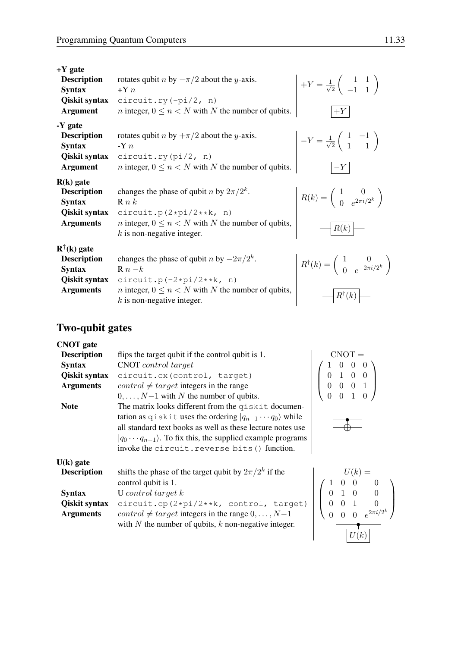| $+Y$ gate<br><b>Description</b><br><b>Syntax</b><br>Qiskit syntax<br><b>Argument</b>              | rotates qubit <i>n</i> by $-\pi/2$ about the <i>y</i> -axis.<br>$+Yn$<br>$circuit.ry(-pi/2, n)$<br><i>n</i> integer, $0 \le n < N$ with N the number of qubits.                                   | $+Y = \frac{1}{\sqrt{2}} \begin{pmatrix} 1 & 1 \\ -1 & 1 \end{pmatrix}$<br>$+Y$                     |
|---------------------------------------------------------------------------------------------------|---------------------------------------------------------------------------------------------------------------------------------------------------------------------------------------------------|-----------------------------------------------------------------------------------------------------|
| -Y gate<br><b>Description</b><br><b>Syntax</b><br>Qiskit syntax<br><b>Argument</b>                | rotates qubit <i>n</i> by $+\pi/2$ about the <i>y</i> -axis.<br>$-Y n$<br>circuit.ry( $pi/2$ , n)<br><i>n</i> integer, $0 \le n < N$ with N the number of qubits.                                 | $-Y = \frac{1}{\sqrt{2}} \begin{pmatrix} 1 & -1 \\ 1 & 1 \end{pmatrix}$<br>$-Y$                     |
| $R(k)$ gate<br><b>Description</b><br><b>Syntax</b><br>Qiskit syntax<br><b>Arguments</b>           | changes the phase of qubit <i>n</i> by $2\pi/2^k$ .<br>R n k<br>circuit.p( $2*pi/2***$ , n)<br><i>n</i> integer, $0 \le n < N$ with N the number of qubits,<br>$k$ is non-negative integer.       | $R(k) = \begin{pmatrix} 1 & 0 \\ 0 & e^{2\pi i/2^k} \end{pmatrix}$<br>R(k)                          |
| $R^{\dagger}(k)$ gate<br><b>Description</b><br><b>Syntax</b><br>Qiskit syntax<br><b>Arguments</b> | changes the phase of qubit <i>n</i> by $-2\pi/2^k$ .<br>$R n - k$<br>circuit.p( $-2*pi/2***$ , n)<br><i>n</i> integer, $0 \le n < N$ with N the number of qubits,<br>$k$ is non-negative integer. | $R^{\dagger}(k) = \begin{pmatrix} 1 & 0 \\ 0 & e^{-2\pi i/2^{k}} \end{pmatrix}$<br>$R^{\dagger}(k)$ |

## Two-qubit gates

| <b>CNOT</b> gate     |                                                                                                                       |                                                                                                  |
|----------------------|-----------------------------------------------------------------------------------------------------------------------|--------------------------------------------------------------------------------------------------|
| <b>Description</b>   | flips the target qubit if the control qubit is 1.                                                                     | CNOT =                                                                                           |
| <b>Syntax</b>        | <b>CNOT</b> control target                                                                                            | $\begin{array}{cccc} & 1 & 0 & 0 \\ & 0 & 1 & 0 \\ & & 0 & 0 \\ & & & \alpha & 0 \\ \end{array}$ |
| <b>Qiskit syntax</b> | circuit.cx(control, target)                                                                                           |                                                                                                  |
| <b>Arguments</b>     | <i>control</i> $\neq target$ integers in the range                                                                    |                                                                                                  |
|                      | $0, \ldots, N-1$ with N the number of qubits.                                                                         |                                                                                                  |
| <b>Note</b>          | The matrix looks different from the qiskit documen-                                                                   |                                                                                                  |
|                      | tation as q i skit uses the ordering $ q_{n-1} \cdots q_0\rangle$ while                                               |                                                                                                  |
|                      | all standard text books as well as these lecture notes use                                                            |                                                                                                  |
|                      | $ q_0 \cdots q_{n-1}\rangle$ . To fix this, the supplied example programs                                             |                                                                                                  |
|                      | invoke the circuit. reverse_bits() function.                                                                          |                                                                                                  |
| $U(k)$ gate          |                                                                                                                       |                                                                                                  |
| <b>Description</b>   | shifts the phase of the target qubit by $2\pi/2^k$ if the                                                             | (k)                                                                                              |
|                      |                                                                                                                       |                                                                                                  |
| <b>Syntax</b>        |                                                                                                                       |                                                                                                  |
| Qiskit syntax        |                                                                                                                       |                                                                                                  |
| <b>Arguments</b>     |                                                                                                                       |                                                                                                  |
|                      | circuit.cp(2*pi/2**k, control, target)<br>control $\neq$ target integers in the range 0,, N-1<br>vith N the number of |                                                                                                  |



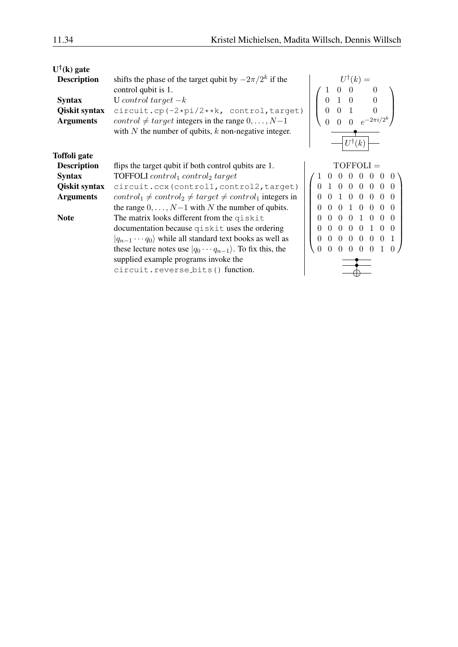| $U^{\dagger}(\mathbf{k})$ gate |                                                                                   |                                                                                           |
|--------------------------------|-----------------------------------------------------------------------------------|-------------------------------------------------------------------------------------------|
| <b>Description</b>             | shifts the phase of the target qubit by $-2\pi/2^k$ if the<br>control qubit is 1. | $U^{\dagger}(k) =$                                                                        |
| <b>Syntax</b>                  | U control target $-k$                                                             | $\Omega$                                                                                  |
| Qiskit syntax                  | circuit.cp(-2*pi/2**k, control, target)                                           |                                                                                           |
| <b>Arguments</b>               | <i>control</i> $\neq$ <i>target</i> integers in the range $0, \ldots, N-1$        |                                                                                           |
|                                | with $N$ the number of qubits, $k$ non-negative integer.                          |                                                                                           |
|                                |                                                                                   |                                                                                           |
| Toffoli gate                   |                                                                                   |                                                                                           |
| <b>Description</b>             | flips the target qubit if both control qubits are 1.                              | $TOFFOLI =$                                                                               |
| <b>Syntax</b>                  | <b>TOFFOLI</b> control <sub>1</sub> control <sub>2</sub> target                   |                                                                                           |
| <b>Qiskit syntax</b>           | circuit.ccx(control1,control2,target)                                             | $\Omega$<br>$\Omega$<br>0<br>$\Omega$<br>$\Omega$<br>$\Omega$                             |
| <b>Arguments</b>               | $control_1 \neq control_2 \neq target \neq control_1$ integers in                 | $\Omega$<br>$\overline{0}$<br>$\Omega$<br>$\theta$<br>$\Omega$                            |
|                                | the range $0, \ldots, N-1$ with N the number of qubits.                           | $\overline{0}$<br>$\overline{0}$<br>$0\quad 0$<br>$\Omega$                                |
| <b>Note</b>                    | The matrix looks different from the qiskit                                        | $\Omega$<br>$\Omega$<br>$\Omega$<br>0<br>$\theta$<br>$\mathbf{1}$<br>$\Omega$<br>$\Omega$ |
|                                | documentation because qiskit uses the ordering                                    | $\Omega$<br>$\Omega$<br>$\Omega$<br>$\Omega$<br>$\Omega$                                  |
|                                | $ q_{n-1} \cdots q_0\rangle$ while all standard text books as well as             | $\theta$<br>$\overline{0}$<br>$\Omega$<br>$\Omega$<br>$\mathbf{1}$<br>$\Omega$            |
|                                | these lecture notes use $ q_0 \cdots q_{n-1}\rangle$ . To fix this, the           | $\overline{0}$<br>$\theta$<br>$\Omega$                                                    |
|                                | supplied example programs invoke the                                              |                                                                                           |
|                                | circuit.reverse_bits() function.                                                  |                                                                                           |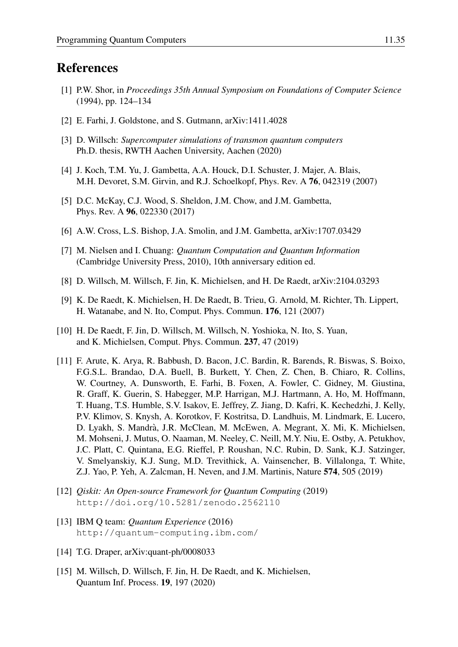## References

- <span id="page-34-0"></span>[1] P.W. Shor, in *Proceedings 35th Annual Symposium on Foundations of Computer Science* (1994), pp. 124–134
- <span id="page-34-1"></span>[2] E. Farhi, J. Goldstone, and S. Gutmann, arXiv:1411.4028
- <span id="page-34-2"></span>[3] D. Willsch: *Supercomputer simulations of transmon quantum computers* Ph.D. thesis, RWTH Aachen University, Aachen (2020)
- <span id="page-34-3"></span>[4] J. Koch, T.M. Yu, J. Gambetta, A.A. Houck, D.I. Schuster, J. Majer, A. Blais, M.H. Devoret, S.M. Girvin, and R.J. Schoelkopf, Phys. Rev. A 76, 042319 (2007)
- <span id="page-34-4"></span>[5] D.C. McKay, C.J. Wood, S. Sheldon, J.M. Chow, and J.M. Gambetta, Phys. Rev. A 96, 022330 (2017)
- <span id="page-34-5"></span>[6] A.W. Cross, L.S. Bishop, J.A. Smolin, and J.M. Gambetta, arXiv:1707.03429
- <span id="page-34-6"></span>[7] M. Nielsen and I. Chuang: *Quantum Computation and Quantum Information* (Cambridge University Press, 2010), 10th anniversary edition ed.
- <span id="page-34-7"></span>[8] D. Willsch, M. Willsch, F. Jin, K. Michielsen, and H. De Raedt, arXiv:2104.03293
- <span id="page-34-8"></span>[9] K. De Raedt, K. Michielsen, H. De Raedt, B. Trieu, G. Arnold, M. Richter, Th. Lippert, H. Watanabe, and N. Ito, Comput. Phys. Commun. 176, 121 (2007)
- <span id="page-34-9"></span>[10] H. De Raedt, F. Jin, D. Willsch, M. Willsch, N. Yoshioka, N. Ito, S. Yuan, and K. Michielsen, Comput. Phys. Commun. 237, 47 (2019)
- <span id="page-34-10"></span>[11] F. Arute, K. Arya, R. Babbush, D. Bacon, J.C. Bardin, R. Barends, R. Biswas, S. Boixo, F.G.S.L. Brandao, D.A. Buell, B. Burkett, Y. Chen, Z. Chen, B. Chiaro, R. Collins, W. Courtney, A. Dunsworth, E. Farhi, B. Foxen, A. Fowler, C. Gidney, M. Giustina, R. Graff, K. Guerin, S. Habegger, M.P. Harrigan, M.J. Hartmann, A. Ho, M. Hoffmann, T. Huang, T.S. Humble, S.V. Isakov, E. Jeffrey, Z. Jiang, D. Kafri, K. Kechedzhi, J. Kelly, P.V. Klimov, S. Knysh, A. Korotkov, F. Kostritsa, D. Landhuis, M. Lindmark, E. Lucero, D. Lyakh, S. Mandra, J.R. McClean, M. McEwen, A. Megrant, X. Mi, K. Michielsen, ` M. Mohseni, J. Mutus, O. Naaman, M. Neeley, C. Neill, M.Y. Niu, E. Ostby, A. Petukhov, J.C. Platt, C. Quintana, E.G. Rieffel, P. Roushan, N.C. Rubin, D. Sank, K.J. Satzinger, V. Smelyanskiy, K.J. Sung, M.D. Trevithick, A. Vainsencher, B. Villalonga, T. White, Z.J. Yao, P. Yeh, A. Zalcman, H. Neven, and J.M. Martinis, Nature 574, 505 (2019)
- <span id="page-34-11"></span>[12] *Qiskit: An Open-source Framework for Quantum Computing* (2019) <http://doi.org/10.5281/zenodo.2562110>
- <span id="page-34-13"></span>[13] IBM Q team: *Quantum Experience* (2016) <http://quantum-computing.ibm.com/>
- <span id="page-34-12"></span>[14] T.G. Draper, arXiv:quant-ph/0008033
- <span id="page-34-14"></span>[15] M. Willsch, D. Willsch, F. Jin, H. De Raedt, and K. Michielsen, Quantum Inf. Process. 19, 197 (2020)